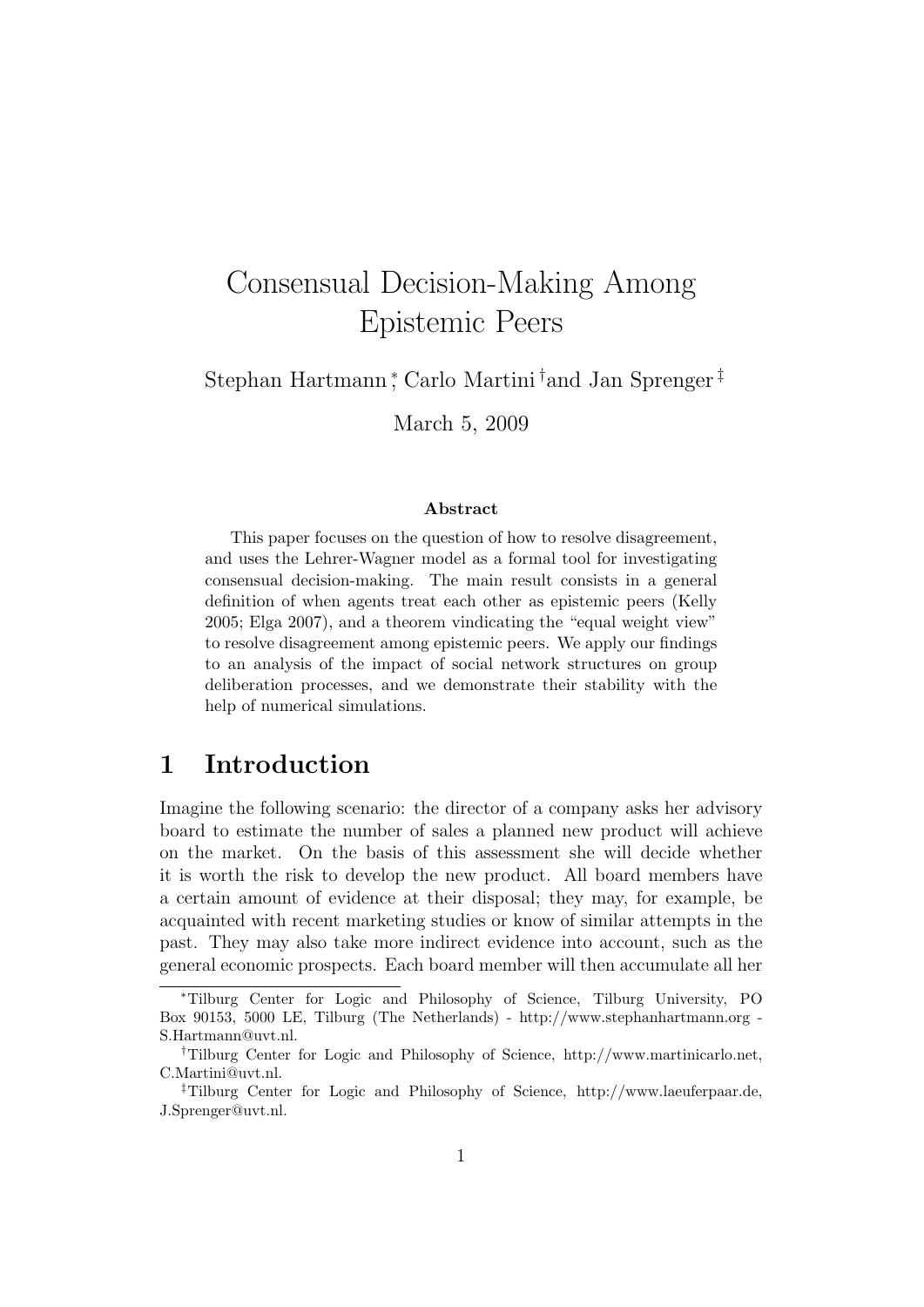# Consensual Decision-Making Among Epistemic Peers

Stephan Hartmann <sup>∗</sup> , Carlo Martini †and Jan Sprenger ‡

March 5, 2009

#### Abstract

This paper focuses on the question of how to resolve disagreement, and uses the Lehrer-Wagner model as a formal tool for investigating consensual decision-making. The main result consists in a general definition of when agents treat each other as epistemic peers (Kelly 2005; Elga 2007), and a theorem vindicating the "equal weight view" to resolve disagreement among epistemic peers. We apply our findings to an analysis of the impact of social network structures on group deliberation processes, and we demonstrate their stability with the help of numerical simulations.

#### 1 Introduction

Imagine the following scenario: the director of a company asks her advisory board to estimate the number of sales a planned new product will achieve on the market. On the basis of this assessment she will decide whether it is worth the risk to develop the new product. All board members have a certain amount of evidence at their disposal; they may, for example, be acquainted with recent marketing studies or know of similar attempts in the past. They may also take more indirect evidence into account, such as the general economic prospects. Each board member will then accumulate all her

<sup>∗</sup>Tilburg Center for Logic and Philosophy of Science, Tilburg University, PO Box 90153, 5000 LE, Tilburg (The Netherlands) - http://www.stephanhartmann.org - S.Hartmann@uvt.nl.

<sup>†</sup>Tilburg Center for Logic and Philosophy of Science, http://www.martinicarlo.net, C.Martini@uvt.nl.

<sup>‡</sup>Tilburg Center for Logic and Philosophy of Science, http://www.laeuferpaar.de, J.Sprenger@uvt.nl.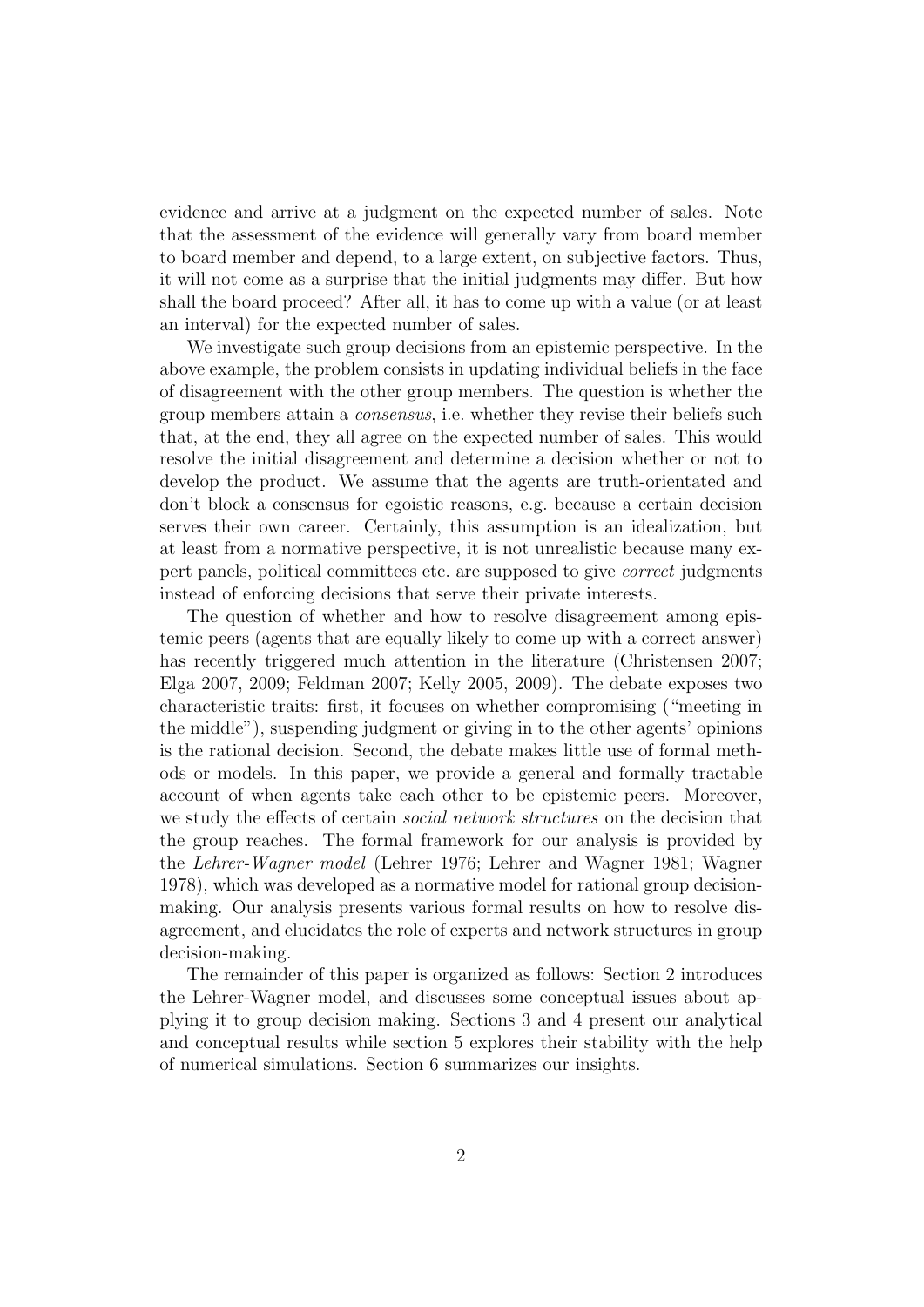evidence and arrive at a judgment on the expected number of sales. Note that the assessment of the evidence will generally vary from board member to board member and depend, to a large extent, on subjective factors. Thus, it will not come as a surprise that the initial judgments may differ. But how shall the board proceed? After all, it has to come up with a value (or at least an interval) for the expected number of sales.

We investigate such group decisions from an epistemic perspective. In the above example, the problem consists in updating individual beliefs in the face of disagreement with the other group members. The question is whether the group members attain a consensus, i.e. whether they revise their beliefs such that, at the end, they all agree on the expected number of sales. This would resolve the initial disagreement and determine a decision whether or not to develop the product. We assume that the agents are truth-orientated and don't block a consensus for egoistic reasons, e.g. because a certain decision serves their own career. Certainly, this assumption is an idealization, but at least from a normative perspective, it is not unrealistic because many expert panels, political committees etc. are supposed to give correct judgments instead of enforcing decisions that serve their private interests.

The question of whether and how to resolve disagreement among epistemic peers (agents that are equally likely to come up with a correct answer) has recently triggered much attention in the literature (Christensen 2007; Elga 2007, 2009; Feldman 2007; Kelly 2005, 2009). The debate exposes two characteristic traits: first, it focuses on whether compromising ("meeting in the middle"), suspending judgment or giving in to the other agents' opinions is the rational decision. Second, the debate makes little use of formal methods or models. In this paper, we provide a general and formally tractable account of when agents take each other to be epistemic peers. Moreover, we study the effects of certain *social network structures* on the decision that the group reaches. The formal framework for our analysis is provided by the Lehrer-Wagner model (Lehrer 1976; Lehrer and Wagner 1981; Wagner 1978), which was developed as a normative model for rational group decisionmaking. Our analysis presents various formal results on how to resolve disagreement, and elucidates the role of experts and network structures in group decision-making.

The remainder of this paper is organized as follows: Section 2 introduces the Lehrer-Wagner model, and discusses some conceptual issues about applying it to group decision making. Sections 3 and 4 present our analytical and conceptual results while section 5 explores their stability with the help of numerical simulations. Section 6 summarizes our insights.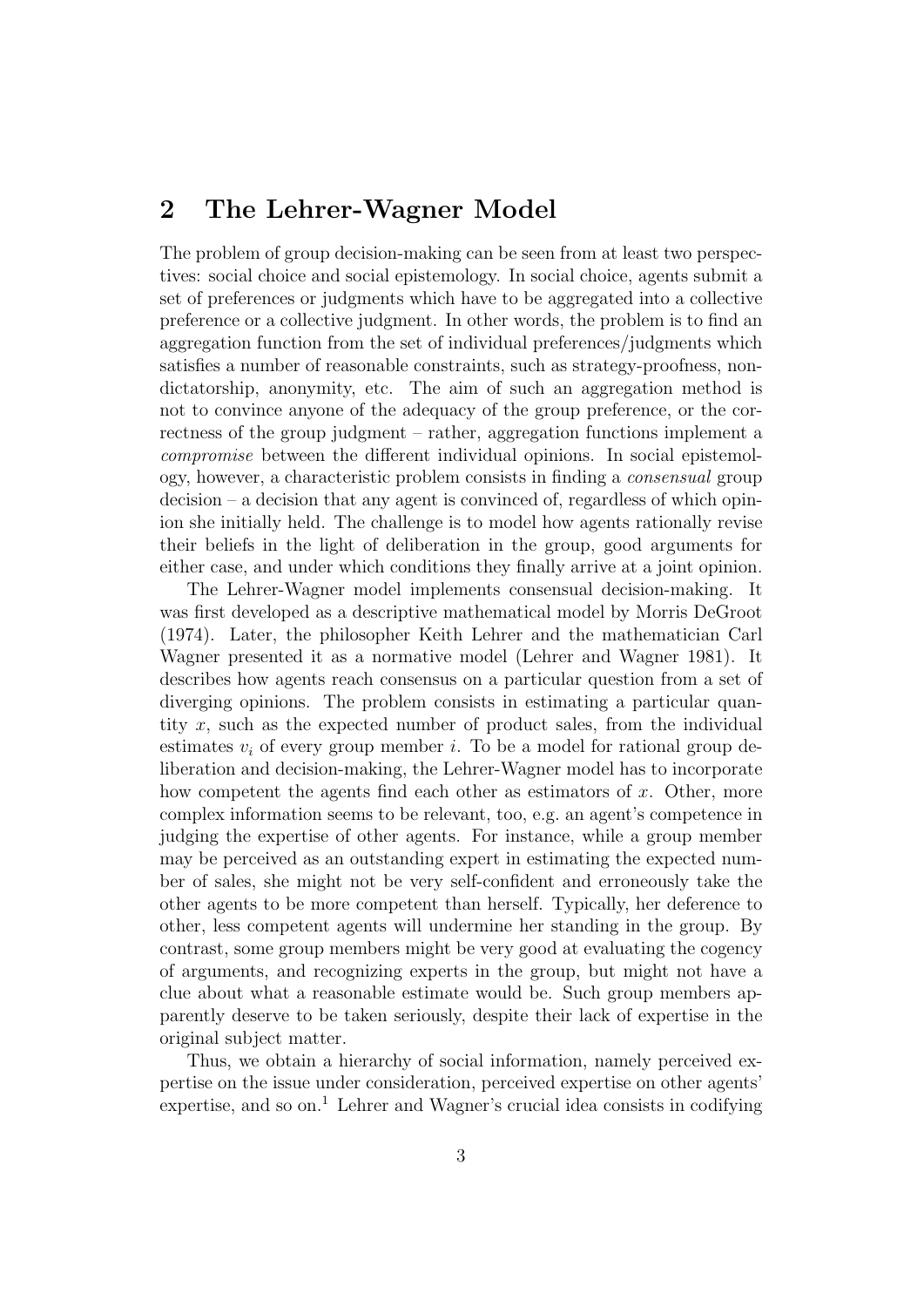# 2 The Lehrer-Wagner Model

The problem of group decision-making can be seen from at least two perspectives: social choice and social epistemology. In social choice, agents submit a set of preferences or judgments which have to be aggregated into a collective preference or a collective judgment. In other words, the problem is to find an aggregation function from the set of individual preferences/judgments which satisfies a number of reasonable constraints, such as strategy-proofness, nondictatorship, anonymity, etc. The aim of such an aggregation method is not to convince anyone of the adequacy of the group preference, or the correctness of the group judgment – rather, aggregation functions implement a compromise between the different individual opinions. In social epistemology, however, a characteristic problem consists in finding a consensual group decision – a decision that any agent is convinced of, regardless of which opinion she initially held. The challenge is to model how agents rationally revise their beliefs in the light of deliberation in the group, good arguments for either case, and under which conditions they finally arrive at a joint opinion.

The Lehrer-Wagner model implements consensual decision-making. It was first developed as a descriptive mathematical model by Morris DeGroot (1974). Later, the philosopher Keith Lehrer and the mathematician Carl Wagner presented it as a normative model (Lehrer and Wagner 1981). It describes how agents reach consensus on a particular question from a set of diverging opinions. The problem consists in estimating a particular quantity x, such as the expected number of product sales, from the individual estimates  $v_i$  of every group member i. To be a model for rational group deliberation and decision-making, the Lehrer-Wagner model has to incorporate how competent the agents find each other as estimators of  $x$ . Other, more complex information seems to be relevant, too, e.g. an agent's competence in judging the expertise of other agents. For instance, while a group member may be perceived as an outstanding expert in estimating the expected number of sales, she might not be very self-confident and erroneously take the other agents to be more competent than herself. Typically, her deference to other, less competent agents will undermine her standing in the group. By contrast, some group members might be very good at evaluating the cogency of arguments, and recognizing experts in the group, but might not have a clue about what a reasonable estimate would be. Such group members apparently deserve to be taken seriously, despite their lack of expertise in the original subject matter.

Thus, we obtain a hierarchy of social information, namely perceived expertise on the issue under consideration, perceived expertise on other agents' expertise, and so on.<sup>1</sup> Lehrer and Wagner's crucial idea consists in codifying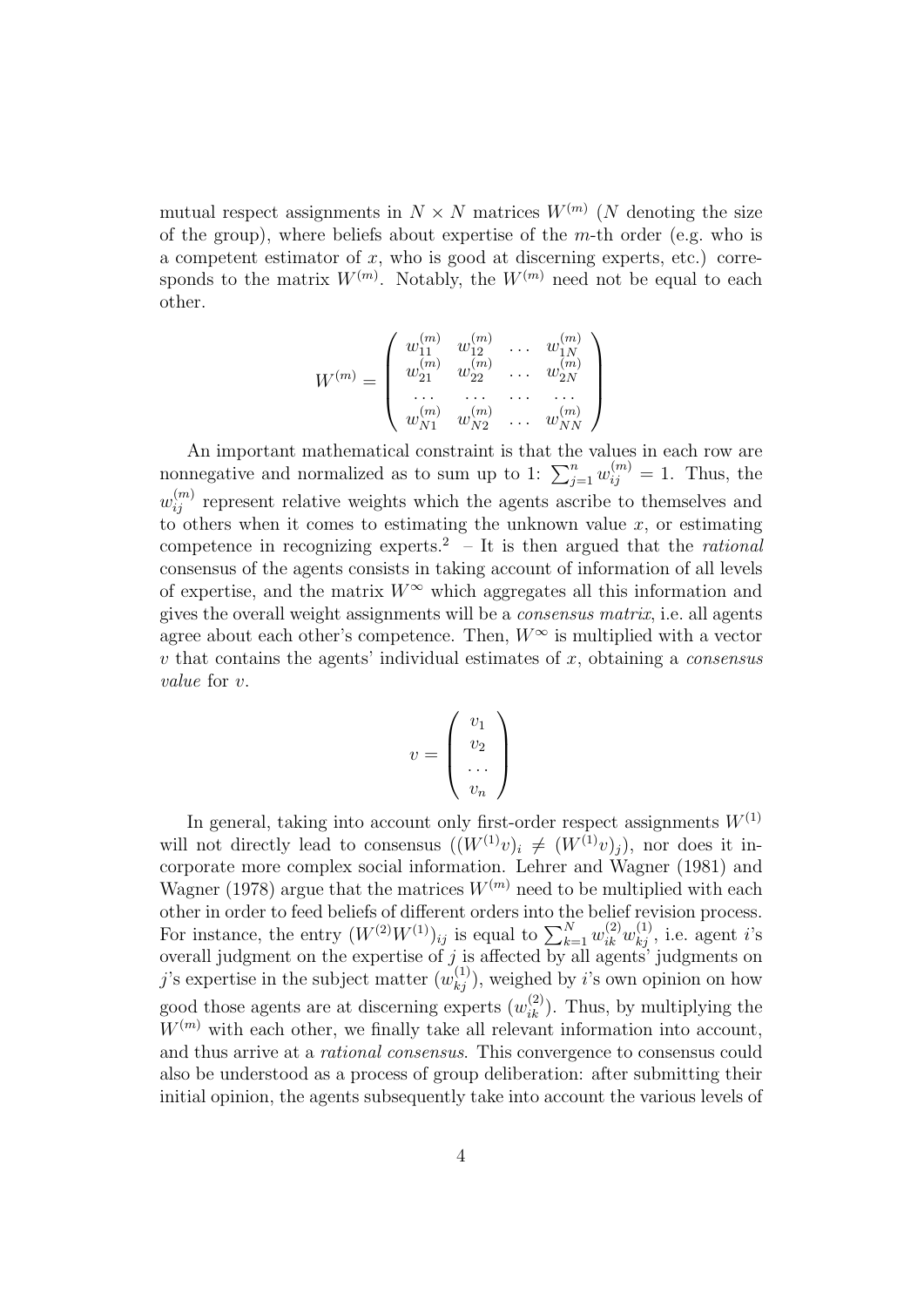mutual respect assignments in  $N \times N$  matrices  $W^{(m)}$  (N denoting the size of the group), where beliefs about expertise of the  $m$ -th order (e.g. who is a competent estimator of  $x$ , who is good at discerning experts, etc.) corresponds to the matrix  $W^{(m)}$ . Notably, the  $W^{(m)}$  need not be equal to each other.

$$
W^{(m)} = \left(\begin{array}{cccc} w_{11}^{(m)} & w_{12}^{(m)} & \dots & w_{1N}^{(m)} \\ w_{21}^{(m)} & w_{22}^{(m)} & \dots & w_{2N}^{(m)} \\ \dots & \dots & \dots & \dots \\ w_{N1}^{(m)} & w_{N2}^{(m)} & \dots & w_{NN}^{(m)} \end{array}\right)
$$

An important mathematical constraint is that the values in each row are nonnegative and normalized as to sum up to 1:  $\sum_{j=1}^{n} w_{ij}^{(m)} = 1$ . Thus, the  $w_{ij}^{(m)}$  represent relative weights which the agents ascribe to themselves and to others when it comes to estimating the unknown value  $x$ , or estimating competence in recognizing experts.<sup>2</sup> – It is then argued that the *rational* consensus of the agents consists in taking account of information of all levels of expertise, and the matrix  $W^{\infty}$  which aggregates all this information and gives the overall weight assignments will be a consensus matrix, i.e. all agents agree about each other's competence. Then,  $W^{\infty}$  is multiplied with a vector  $v$  that contains the agents' individual estimates of  $x$ , obtaining a *consensus* value for v.

$$
v = \left(\begin{array}{c} v_1 \\ v_2 \\ \dots \\ v_n \end{array}\right)
$$

In general, taking into account only first-order respect assignments  $W^{(1)}$ will not directly lead to consensus  $((W^{(1)}v)_i \neq (W^{(1)}v)_j)$ , nor does it incorporate more complex social information. Lehrer and Wagner (1981) and Wagner (1978) argue that the matrices  $W^{(m)}$  need to be multiplied with each other in order to feed beliefs of different orders into the belief revision process. For instance, the entry  $(W^{(2)}W^{(1)})_{ij}$  is equal to  $\sum_{k=1}^{N} w_{ik}^{(2)} w_{kj}^{(1)}$ , i.e. agent i's overall judgment on the expertise of  $j$  is affected by all agents' judgments on j's expertise in the subject matter  $(w_{kj}^{(1)})$ , weighed by i's own opinion on how good those agents are at discerning experts  $(w_{ik}^{(2)})$ . Thus, by multiplying the  $W^{(m)}$  with each other, we finally take all relevant information into account, and thus arrive at a rational consensus. This convergence to consensus could also be understood as a process of group deliberation: after submitting their initial opinion, the agents subsequently take into account the various levels of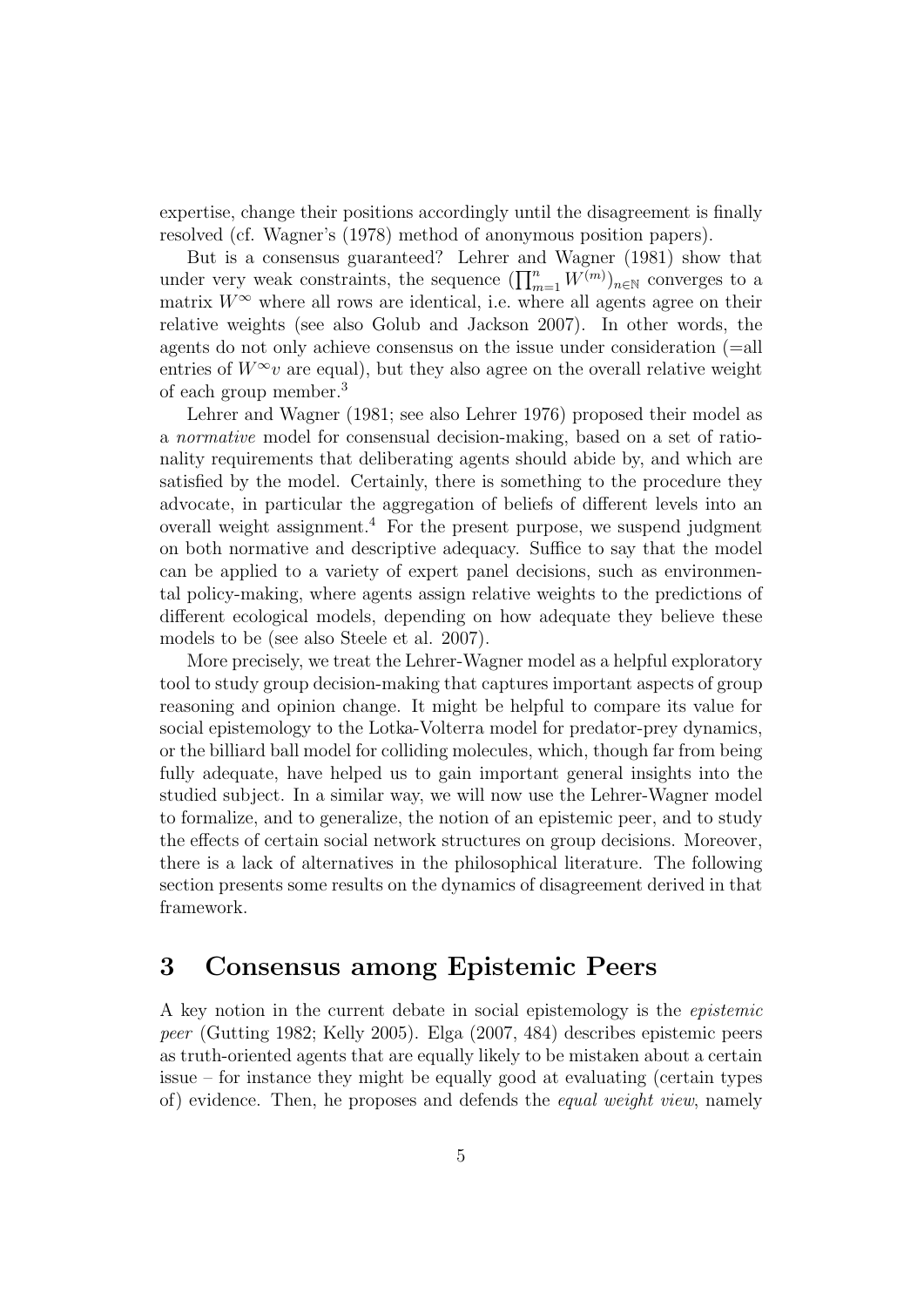expertise, change their positions accordingly until the disagreement is finally resolved (cf. Wagner's (1978) method of anonymous position papers).

But is a consensus guaranteed? Lehrer and Wagner (1981) show that under very weak constraints, the sequence  $(\prod_{m=1}^n W^{(m)})_{n\in\mathbb{N}}$  converges to a matrix  $W^{\infty}$  where all rows are identical, i.e. where all agents agree on their relative weights (see also Golub and Jackson 2007). In other words, the agents do not only achieve consensus on the issue under consideration (=all entries of  $W^{\infty}v$  are equal), but they also agree on the overall relative weight of each group member.<sup>3</sup>

Lehrer and Wagner (1981; see also Lehrer 1976) proposed their model as a normative model for consensual decision-making, based on a set of rationality requirements that deliberating agents should abide by, and which are satisfied by the model. Certainly, there is something to the procedure they advocate, in particular the aggregation of beliefs of different levels into an overall weight assignment.<sup>4</sup> For the present purpose, we suspend judgment on both normative and descriptive adequacy. Suffice to say that the model can be applied to a variety of expert panel decisions, such as environmental policy-making, where agents assign relative weights to the predictions of different ecological models, depending on how adequate they believe these models to be (see also Steele et al. 2007).

More precisely, we treat the Lehrer-Wagner model as a helpful exploratory tool to study group decision-making that captures important aspects of group reasoning and opinion change. It might be helpful to compare its value for social epistemology to the Lotka-Volterra model for predator-prey dynamics, or the billiard ball model for colliding molecules, which, though far from being fully adequate, have helped us to gain important general insights into the studied subject. In a similar way, we will now use the Lehrer-Wagner model to formalize, and to generalize, the notion of an epistemic peer, and to study the effects of certain social network structures on group decisions. Moreover, there is a lack of alternatives in the philosophical literature. The following section presents some results on the dynamics of disagreement derived in that framework.

#### 3 Consensus among Epistemic Peers

A key notion in the current debate in social epistemology is the epistemic peer (Gutting 1982; Kelly 2005). Elga (2007, 484) describes epistemic peers as truth-oriented agents that are equally likely to be mistaken about a certain issue – for instance they might be equally good at evaluating (certain types of) evidence. Then, he proposes and defends the equal weight view, namely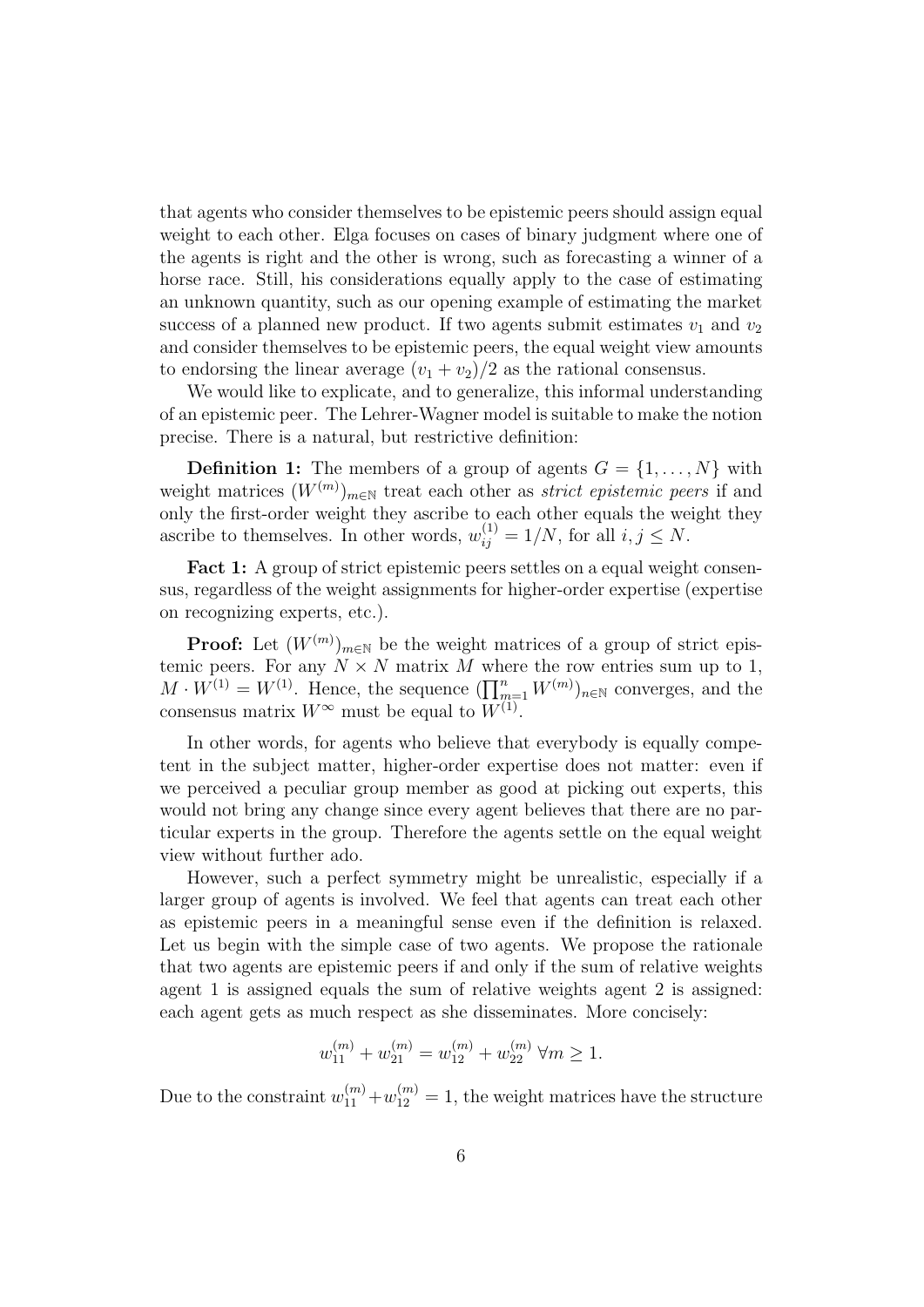that agents who consider themselves to be epistemic peers should assign equal weight to each other. Elga focuses on cases of binary judgment where one of the agents is right and the other is wrong, such as forecasting a winner of a horse race. Still, his considerations equally apply to the case of estimating an unknown quantity, such as our opening example of estimating the market success of a planned new product. If two agents submit estimates  $v_1$  and  $v_2$ and consider themselves to be epistemic peers, the equal weight view amounts to endorsing the linear average  $(v_1 + v_2)/2$  as the rational consensus.

We would like to explicate, and to generalize, this informal understanding of an epistemic peer. The Lehrer-Wagner model is suitable to make the notion precise. There is a natural, but restrictive definition:

**Definition 1:** The members of a group of agents  $G = \{1, \ldots, N\}$  with weight matrices  $(W^{(m)})_{m\in\mathbb{N}}$  treat each other as *strict epistemic peers* if and only the first-order weight they ascribe to each other equals the weight they ascribe to themselves. In other words,  $w_{ij}^{(1)} = 1/N$ , for all  $i, j \leq N$ .

Fact 1: A group of strict epistemic peers settles on a equal weight consensus, regardless of the weight assignments for higher-order expertise (expertise on recognizing experts, etc.).

**Proof:** Let  $(W^{(m)})_{m\in\mathbb{N}}$  be the weight matrices of a group of strict epistemic peers. For any  $N \times N$  matrix M where the row entries sum up to 1,  $M \cdot W^{(1)} = W^{(1)}$ . Hence, the sequence  $(\prod_{m=1}^{n} W^{(m)})_{n \in \mathbb{N}}$  converges, and the consensus matrix  $W^{\infty}$  must be equal to  $W^{(1)}$ .

In other words, for agents who believe that everybody is equally competent in the subject matter, higher-order expertise does not matter: even if we perceived a peculiar group member as good at picking out experts, this would not bring any change since every agent believes that there are no particular experts in the group. Therefore the agents settle on the equal weight view without further ado.

However, such a perfect symmetry might be unrealistic, especially if a larger group of agents is involved. We feel that agents can treat each other as epistemic peers in a meaningful sense even if the definition is relaxed. Let us begin with the simple case of two agents. We propose the rationale that two agents are epistemic peers if and only if the sum of relative weights agent 1 is assigned equals the sum of relative weights agent 2 is assigned: each agent gets as much respect as she disseminates. More concisely:

$$
w_{11}^{(m)} + w_{21}^{(m)} = w_{12}^{(m)} + w_{22}^{(m)} \ \forall m \ge 1.
$$

Due to the constraint  $w_{11}^{(m)} + w_{12}^{(m)} = 1$ , the weight matrices have the structure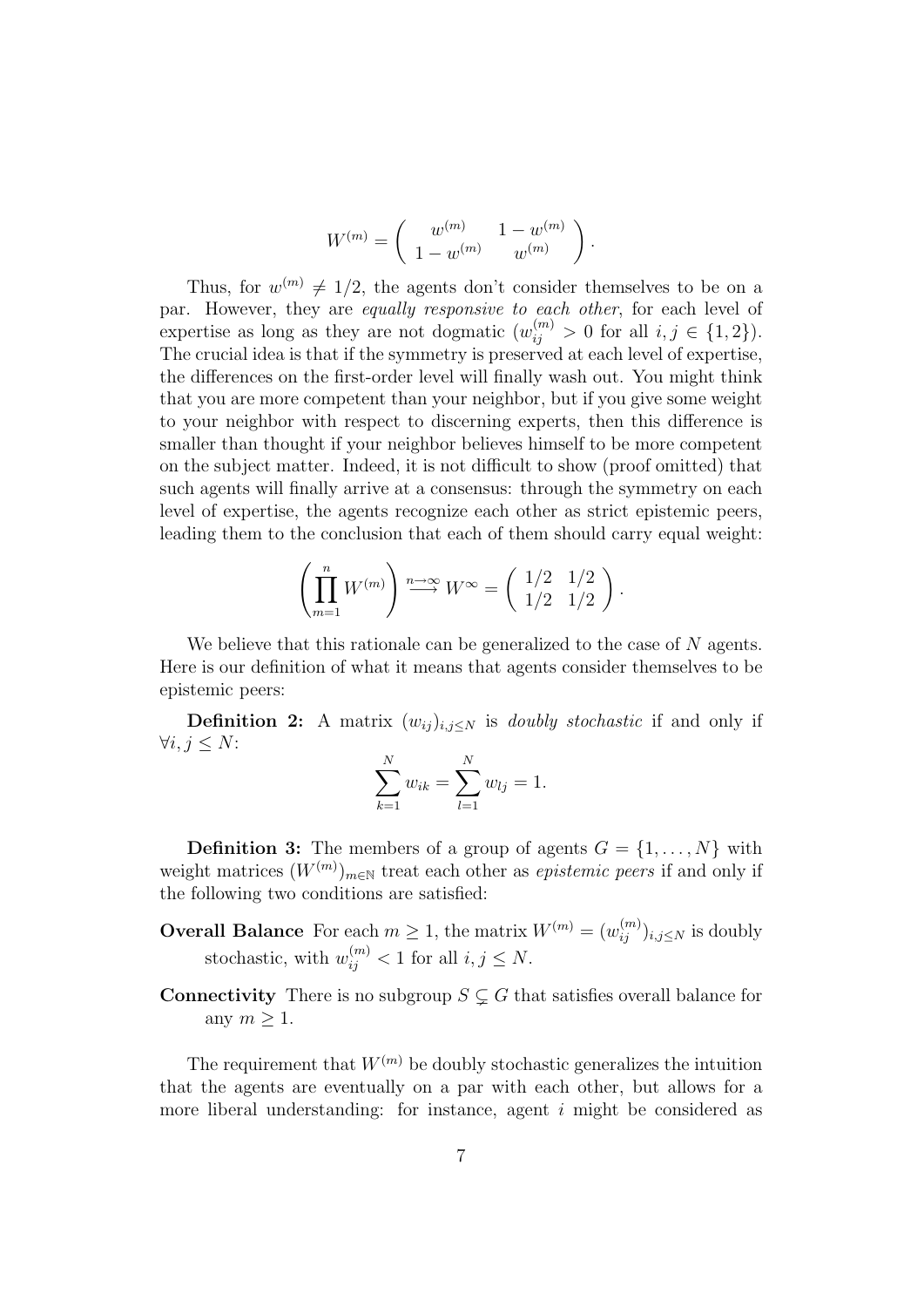$$
W^{(m)} = \left( \begin{array}{cc} w^{(m)} & 1-w^{(m)} \\ 1-w^{(m)} & w^{(m)} \end{array} \right).
$$

Thus, for  $w^{(m)} \neq 1/2$ , the agents don't consider themselves to be on a par. However, they are equally responsive to each other, for each level of expertise as long as they are not dogmatic  $(w_{ij}^{(m)} > 0$  for all  $i, j \in \{1, 2\}$ ). The crucial idea is that if the symmetry is preserved at each level of expertise, the differences on the first-order level will finally wash out. You might think that you are more competent than your neighbor, but if you give some weight to your neighbor with respect to discerning experts, then this difference is smaller than thought if your neighbor believes himself to be more competent on the subject matter. Indeed, it is not difficult to show (proof omitted) that such agents will finally arrive at a consensus: through the symmetry on each level of expertise, the agents recognize each other as strict epistemic peers, leading them to the conclusion that each of them should carry equal weight:

$$
\left(\prod_{m=1}^n W^{(m)}\right) \stackrel{n \to \infty}{\longrightarrow} W^{\infty} = \left(\begin{array}{cc} 1/2 & 1/2 \\ 1/2 & 1/2 \end{array}\right).
$$

We believe that this rationale can be generalized to the case of N agents. Here is our definition of what it means that agents consider themselves to be epistemic peers:

**Definition 2:** A matrix  $(w_{ij})_{i,j\leq N}$  is *doubly stochastic* if and only if  $\forall i, j \leq N$ :

$$
\sum_{k=1}^{N} w_{ik} = \sum_{l=1}^{N} w_{lj} = 1.
$$

**Definition 3:** The members of a group of agents  $G = \{1, \ldots, N\}$  with weight matrices  $(W^{(m)})_{m\in\mathbb{N}}$  treat each other as *epistemic peers* if and only if the following two conditions are satisfied:

- **Overall Balance** For each  $m \geq 1$ , the matrix  $W^{(m)} = (w_{ij}^{(m)})_{i,j \leq N}$  is doubly stochastic, with  $w_{ij}^{(m)} < 1$  for all  $i, j \leq N$ .
- **Connectivity** There is no subgroup  $S \subsetneq G$  that satisfies overall balance for any  $m > 1$ .

The requirement that  $W^{(m)}$  be doubly stochastic generalizes the intuition that the agents are eventually on a par with each other, but allows for a more liberal understanding: for instance, agent  $i$  might be considered as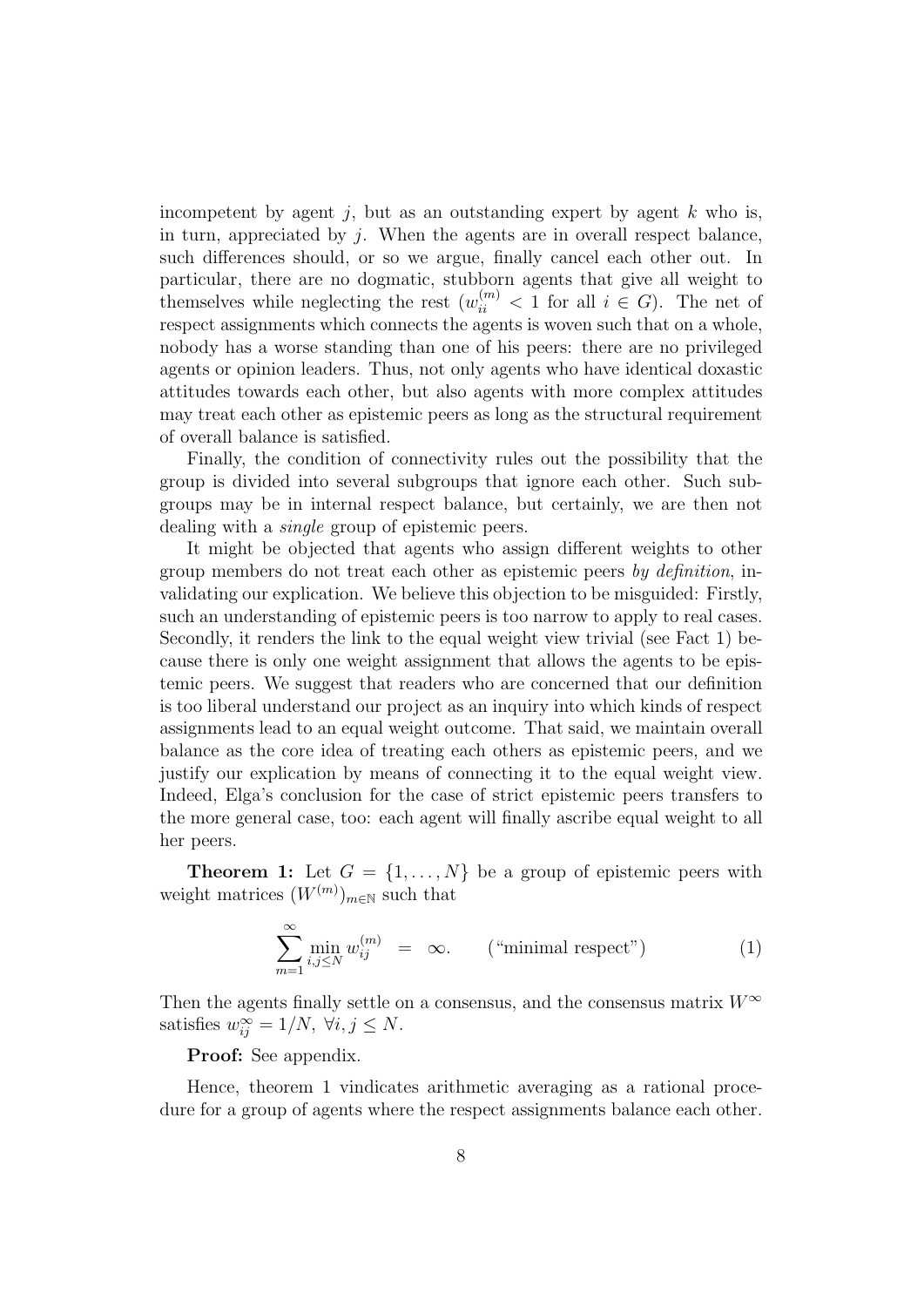incompetent by agent  $i$ , but as an outstanding expert by agent k who is, in turn, appreciated by  $j$ . When the agents are in overall respect balance, such differences should, or so we argue, finally cancel each other out. In particular, there are no dogmatic, stubborn agents that give all weight to themselves while neglecting the rest  $(w_{ii}^{(m)} < 1$  for all  $i \in G$ ). The net of respect assignments which connects the agents is woven such that on a whole, nobody has a worse standing than one of his peers: there are no privileged agents or opinion leaders. Thus, not only agents who have identical doxastic attitudes towards each other, but also agents with more complex attitudes may treat each other as epistemic peers as long as the structural requirement of overall balance is satisfied.

Finally, the condition of connectivity rules out the possibility that the group is divided into several subgroups that ignore each other. Such subgroups may be in internal respect balance, but certainly, we are then not dealing with a single group of epistemic peers.

It might be objected that agents who assign different weights to other group members do not treat each other as epistemic peers by definition, invalidating our explication. We believe this objection to be misguided: Firstly, such an understanding of epistemic peers is too narrow to apply to real cases. Secondly, it renders the link to the equal weight view trivial (see Fact 1) because there is only one weight assignment that allows the agents to be epistemic peers. We suggest that readers who are concerned that our definition is too liberal understand our project as an inquiry into which kinds of respect assignments lead to an equal weight outcome. That said, we maintain overall balance as the core idea of treating each others as epistemic peers, and we justify our explication by means of connecting it to the equal weight view. Indeed, Elga's conclusion for the case of strict epistemic peers transfers to the more general case, too: each agent will finally ascribe equal weight to all her peers.

**Theorem 1:** Let  $G = \{1, ..., N\}$  be a group of epistemic peers with weight matrices  $(W^{(m)})_{m\in\mathbb{N}}$  such that

$$
\sum_{m=1}^{\infty} \min_{i,j \le N} w_{ij}^{(m)} = \infty. \qquad \text{("minimal respect")} \tag{1}
$$

Then the agents finally settle on a consensus, and the consensus matrix  $W^{\infty}$ satisfies  $w_{ij}^{\infty} = 1/N$ ,  $\forall i, j \leq N$ .

Proof: See appendix.

Hence, theorem 1 vindicates arithmetic averaging as a rational procedure for a group of agents where the respect assignments balance each other.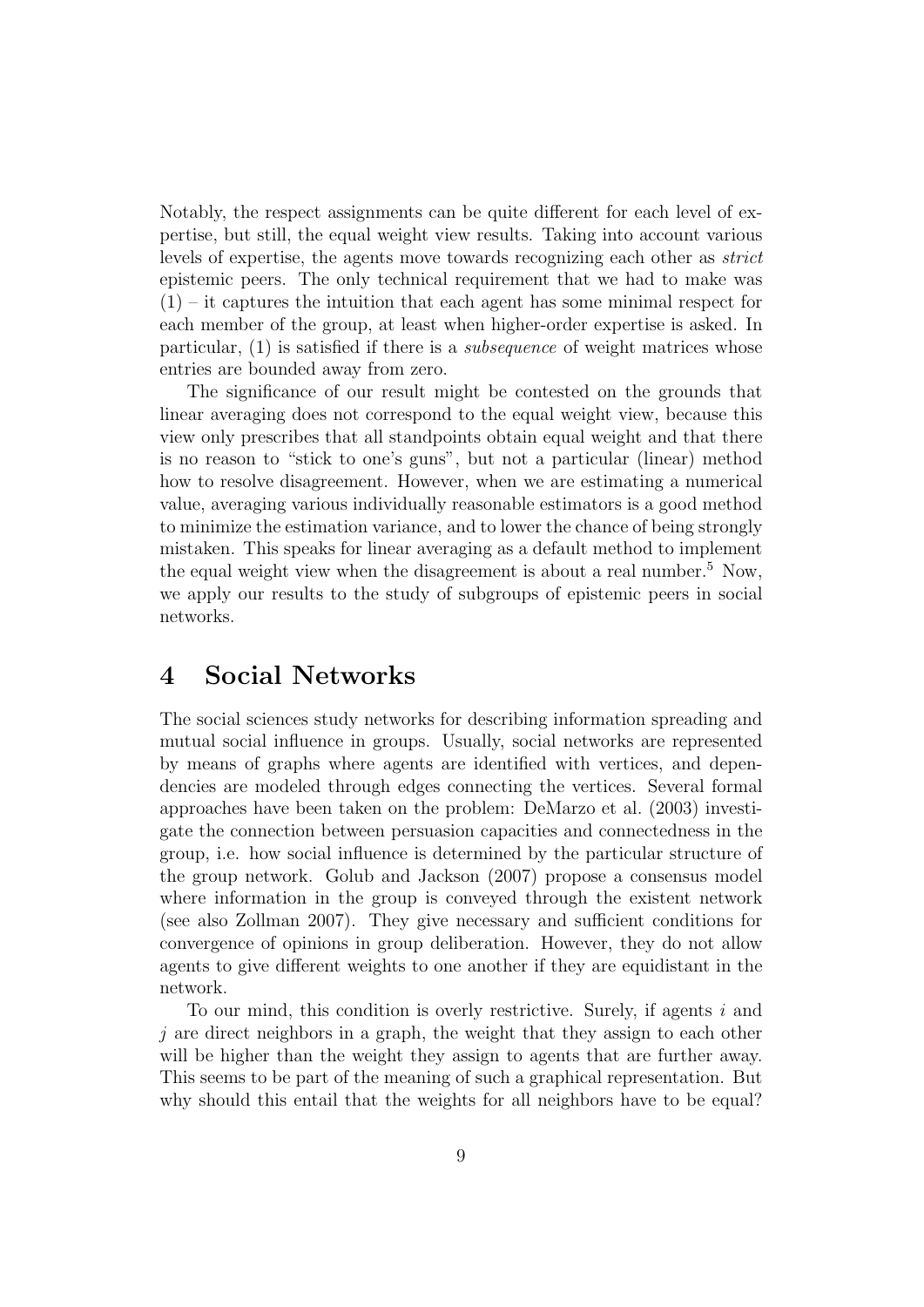Notably, the respect assignments can be quite different for each level of expertise, but still, the equal weight view results. Taking into account various levels of expertise, the agents move towards recognizing each other as *strict* epistemic peers. The only technical requirement that we had to make was  $(1)$  – it captures the intuition that each agent has some minimal respect for each member of the group, at least when higher-order expertise is asked. In particular, (1) is satisfied if there is a subsequence of weight matrices whose entries are bounded away from zero.

The significance of our result might be contested on the grounds that linear averaging does not correspond to the equal weight view, because this view only prescribes that all standpoints obtain equal weight and that there is no reason to "stick to one's guns", but not a particular (linear) method how to resolve disagreement. However, when we are estimating a numerical value, averaging various individually reasonable estimators is a good method to minimize the estimation variance, and to lower the chance of being strongly mistaken. This speaks for linear averaging as a default method to implement the equal weight view when the disagreement is about a real number.<sup>5</sup> Now, we apply our results to the study of subgroups of epistemic peers in social networks.

# 4 Social Networks

The social sciences study networks for describing information spreading and mutual social influence in groups. Usually, social networks are represented by means of graphs where agents are identified with vertices, and dependencies are modeled through edges connecting the vertices. Several formal approaches have been taken on the problem: DeMarzo et al. (2003) investigate the connection between persuasion capacities and connectedness in the group, i.e. how social influence is determined by the particular structure of the group network. Golub and Jackson (2007) propose a consensus model where information in the group is conveyed through the existent network (see also Zollman 2007). They give necessary and sufficient conditions for convergence of opinions in group deliberation. However, they do not allow agents to give different weights to one another if they are equidistant in the network.

To our mind, this condition is overly restrictive. Surely, if agents  $i$  and  $j$  are direct neighbors in a graph, the weight that they assign to each other will be higher than the weight they assign to agents that are further away. This seems to be part of the meaning of such a graphical representation. But why should this entail that the weights for all neighbors have to be equal?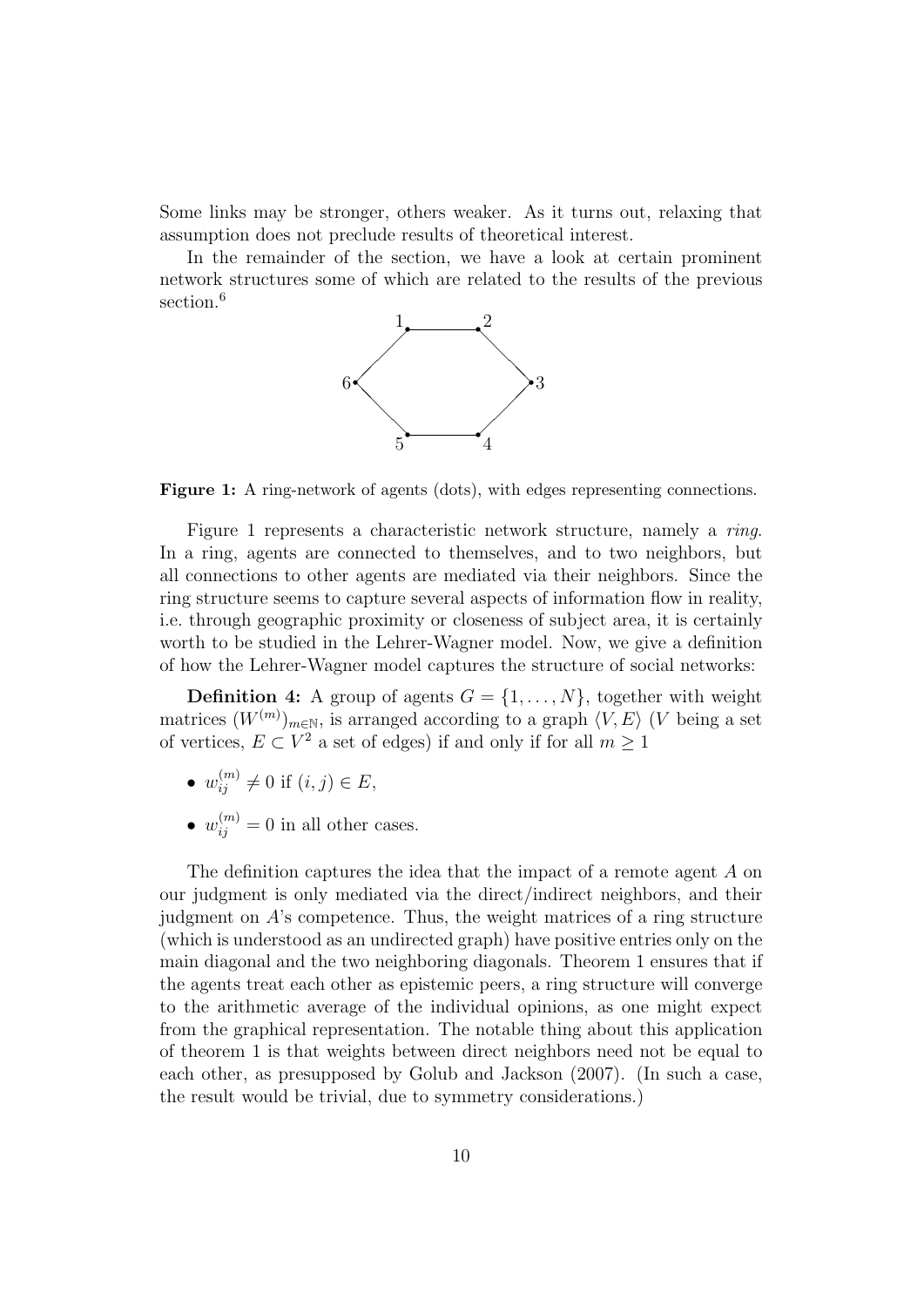Some links may be stronger, others weaker. As it turns out, relaxing that assumption does not preclude results of theoretical interest.

In the remainder of the section, we have a look at certain prominent network structures some of which are related to the results of the previous section.<sup>6</sup>



Figure 1: A ring-network of agents (dots), with edges representing connections.

Figure 1 represents a characteristic network structure, namely a ring. In a ring, agents are connected to themselves, and to two neighbors, but all connections to other agents are mediated via their neighbors. Since the ring structure seems to capture several aspects of information flow in reality, i.e. through geographic proximity or closeness of subject area, it is certainly worth to be studied in the Lehrer-Wagner model. Now, we give a definition of how the Lehrer-Wagner model captures the structure of social networks:

**Definition 4:** A group of agents  $G = \{1, \ldots, N\}$ , together with weight matrices  $(W^{(m)})_{m\in\mathbb{N}}$ , is arranged according to a graph  $\langle V, E \rangle$  (V being a set of vertices,  $E \subset V^2$  a set of edges) if and only if for all  $m \ge 1$ 

- $w_{ij}^{(m)} \neq 0$  if  $(i, j) \in E$ ,
- $w_{ij}^{(m)} = 0$  in all other cases.

The definition captures the idea that the impact of a remote agent A on our judgment is only mediated via the direct/indirect neighbors, and their judgment on  $A$ 's competence. Thus, the weight matrices of a ring structure (which is understood as an undirected graph) have positive entries only on the main diagonal and the two neighboring diagonals. Theorem 1 ensures that if the agents treat each other as epistemic peers, a ring structure will converge to the arithmetic average of the individual opinions, as one might expect from the graphical representation. The notable thing about this application of theorem 1 is that weights between direct neighbors need not be equal to each other, as presupposed by Golub and Jackson (2007). (In such a case, the result would be trivial, due to symmetry considerations.)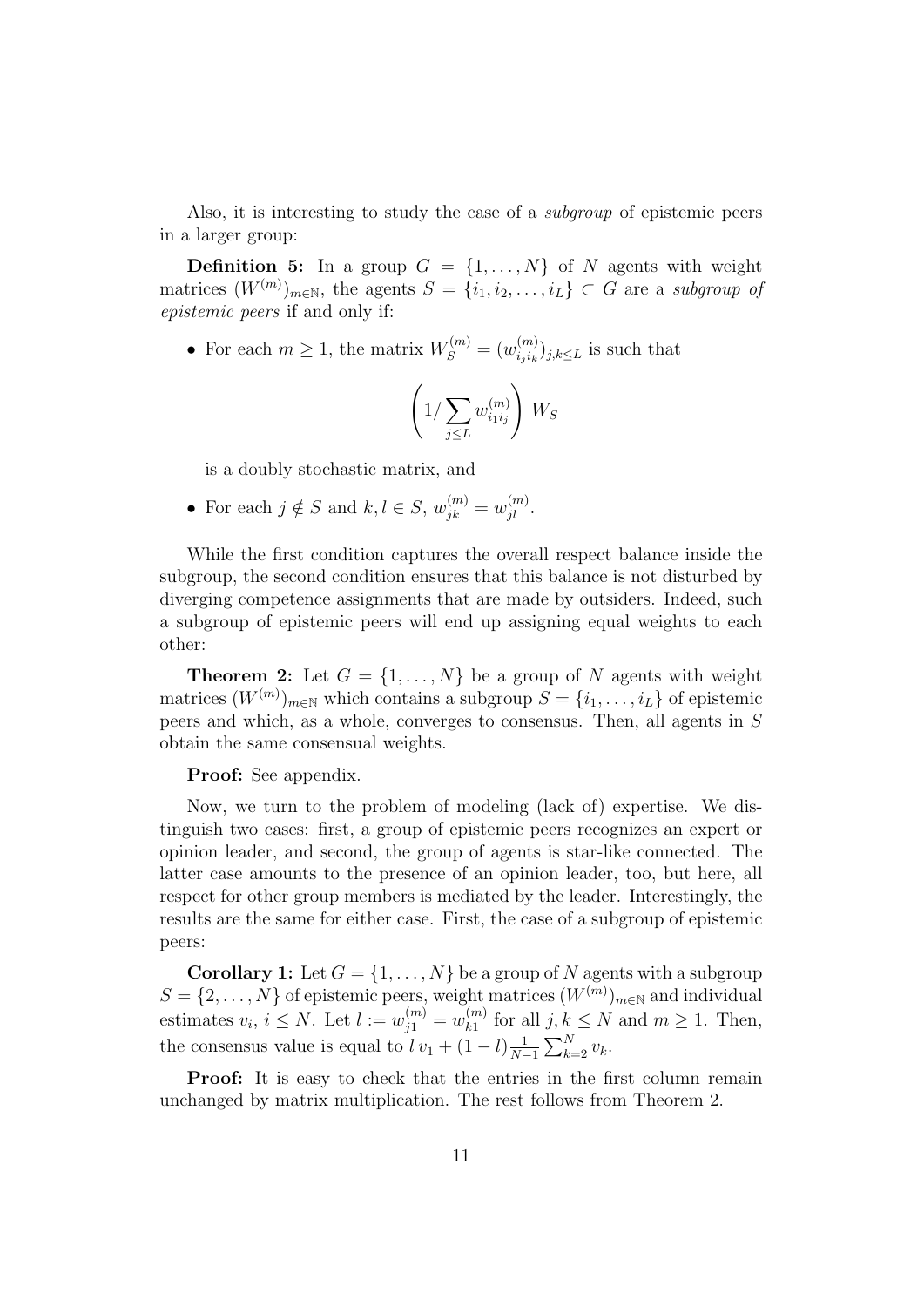Also, it is interesting to study the case of a subgroup of epistemic peers in a larger group:

**Definition 5:** In a group  $G = \{1, \ldots, N\}$  of N agents with weight matrices  $(W^{(m)})_{m\in\mathbb{N}}$ , the agents  $S = \{i_1, i_2, \ldots, i_L\} \subset G$  are a subgroup of epistemic peers if and only if:

• For each  $m \geq 1$ , the matrix  $W_S^{(m)} = (w_{i_j i_k}^{(m)})$  $\binom{m}{i_j i_k} j_{j,k \leq L}$  is such that

$$
\left(1/\sum_{j\leq L} w_{i_1i_j}^{(m)}\right) W_S
$$

is a doubly stochastic matrix, and

• For each  $j \notin S$  and  $k, l \in S$ ,  $w_{jk}^{(m)} = w_{jl}^{(m)}$ .

While the first condition captures the overall respect balance inside the subgroup, the second condition ensures that this balance is not disturbed by diverging competence assignments that are made by outsiders. Indeed, such a subgroup of epistemic peers will end up assigning equal weights to each other:

**Theorem 2:** Let  $G = \{1, ..., N\}$  be a group of N agents with weight matrices  $(W^{(m)})_{m \in \mathbb{N}}$  which contains a subgroup  $S = \{i_1, \ldots, i_L\}$  of epistemic peers and which, as a whole, converges to consensus. Then, all agents in S obtain the same consensual weights.

Proof: See appendix.

Now, we turn to the problem of modeling (lack of) expertise. We distinguish two cases: first, a group of epistemic peers recognizes an expert or opinion leader, and second, the group of agents is star-like connected. The latter case amounts to the presence of an opinion leader, too, but here, all respect for other group members is mediated by the leader. Interestingly, the results are the same for either case. First, the case of a subgroup of epistemic peers:

**Corollary 1:** Let  $G = \{1, \ldots, N\}$  be a group of N agents with a subgroup  $S = \{2, \ldots, N\}$  of epistemic peers, weight matrices  $(W^{(m)})_{m \in \mathbb{N}}$  and individual estimates  $v_i, i \leq N$ . Let  $l := w_{j1}^{(m)} = w_{k1}^{(m)}$  $\int_{k_1}^{(m)}$  for all  $j, k \leq N$  and  $m \geq 1$ . Then, the consensus value is equal to  $l v_1 + (1 - l) \frac{1}{N}$  $\frac{1}{N-1}\sum_{k=2}^N v_k$ .

Proof: It is easy to check that the entries in the first column remain unchanged by matrix multiplication. The rest follows from Theorem 2.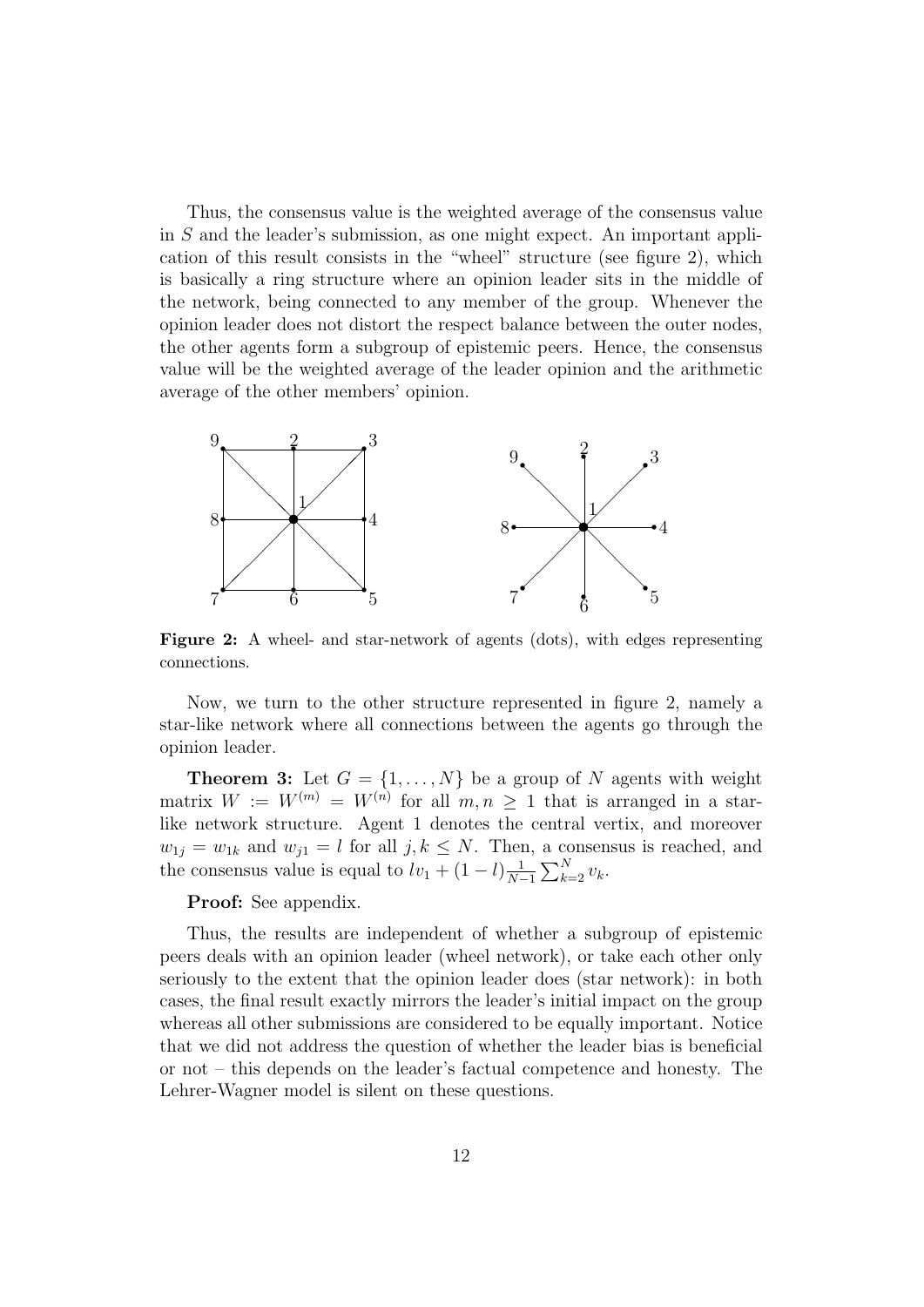Thus, the consensus value is the weighted average of the consensus value in S and the leader's submission, as one might expect. An important application of this result consists in the "wheel" structure (see figure 2), which is basically a ring structure where an opinion leader sits in the middle of the network, being connected to any member of the group. Whenever the opinion leader does not distort the respect balance between the outer nodes, the other agents form a subgroup of epistemic peers. Hence, the consensus value will be the weighted average of the leader opinion and the arithmetic average of the other members' opinion.



Figure 2: A wheel- and star-network of agents (dots), with edges representing connections.

Now, we turn to the other structure represented in figure 2, namely a star-like network where all connections between the agents go through the opinion leader.

**Theorem 3:** Let  $G = \{1, ..., N\}$  be a group of N agents with weight matrix  $W := W^{(m)} = W^{(n)}$  for all  $m, n \geq 1$  that is arranged in a starlike network structure. Agent 1 denotes the central vertix, and moreover  $w_{1j} = w_{1k}$  and  $w_{j1} = l$  for all  $j, k \leq N$ . Then, a consensus is reached, and the consensus value is equal to  $lv_1 + (1 - l)\frac{1}{N}$  $\frac{1}{N-1}\sum_{k=2}^N v_k$ .

Proof: See appendix.

Thus, the results are independent of whether a subgroup of epistemic peers deals with an opinion leader (wheel network), or take each other only seriously to the extent that the opinion leader does (star network): in both cases, the final result exactly mirrors the leader's initial impact on the group whereas all other submissions are considered to be equally important. Notice that we did not address the question of whether the leader bias is beneficial or not – this depends on the leader's factual competence and honesty. The Lehrer-Wagner model is silent on these questions.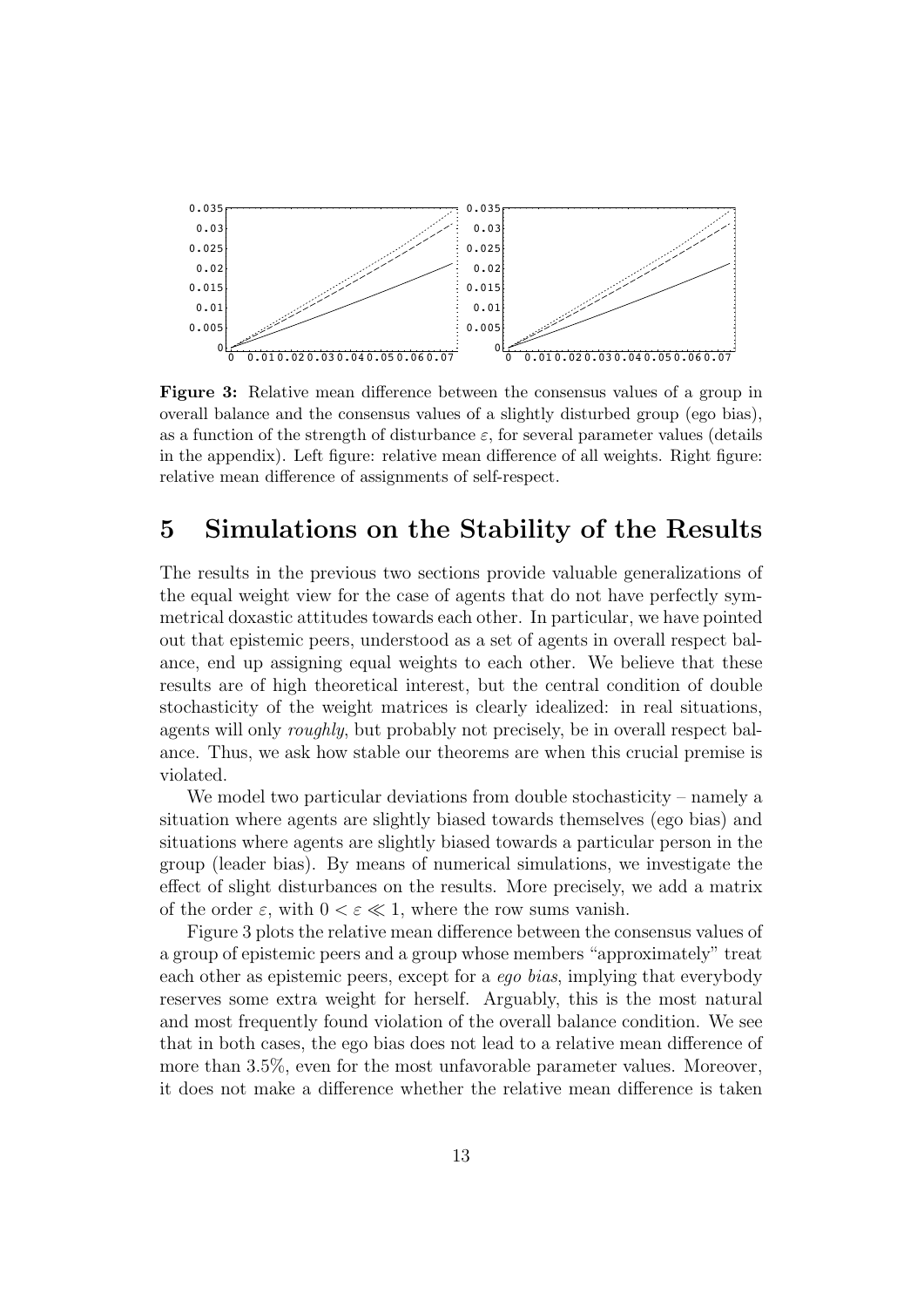

Figure 3: Relative mean difference between the consensus values of a group in overall balance and the consensus values of a slightly disturbed group (ego bias), as a function of the strength of disturbance  $\varepsilon$ , for several parameter values (details in the appendix). Left figure: relative mean difference of all weights. Right figure: relative mean difference of assignments of self-respect.

#### 5 Simulations on the Stability of the Results

The results in the previous two sections provide valuable generalizations of the equal weight view for the case of agents that do not have perfectly symmetrical doxastic attitudes towards each other. In particular, we have pointed out that epistemic peers, understood as a set of agents in overall respect balance, end up assigning equal weights to each other. We believe that these results are of high theoretical interest, but the central condition of double stochasticity of the weight matrices is clearly idealized: in real situations, agents will only roughly, but probably not precisely, be in overall respect balance. Thus, we ask how stable our theorems are when this crucial premise is violated.

We model two particular deviations from double stochasticity – namely a situation where agents are slightly biased towards themselves (ego bias) and situations where agents are slightly biased towards a particular person in the group (leader bias). By means of numerical simulations, we investigate the effect of slight disturbances on the results. More precisely, we add a matrix of the order  $\varepsilon$ , with  $0 < \varepsilon \ll 1$ , where the row sums vanish.

Figure 3 plots the relative mean difference between the consensus values of a group of epistemic peers and a group whose members "approximately" treat each other as epistemic peers, except for a ego bias, implying that everybody reserves some extra weight for herself. Arguably, this is the most natural and most frequently found violation of the overall balance condition. We see that in both cases, the ego bias does not lead to a relative mean difference of more than 3.5%, even for the most unfavorable parameter values. Moreover, it does not make a difference whether the relative mean difference is taken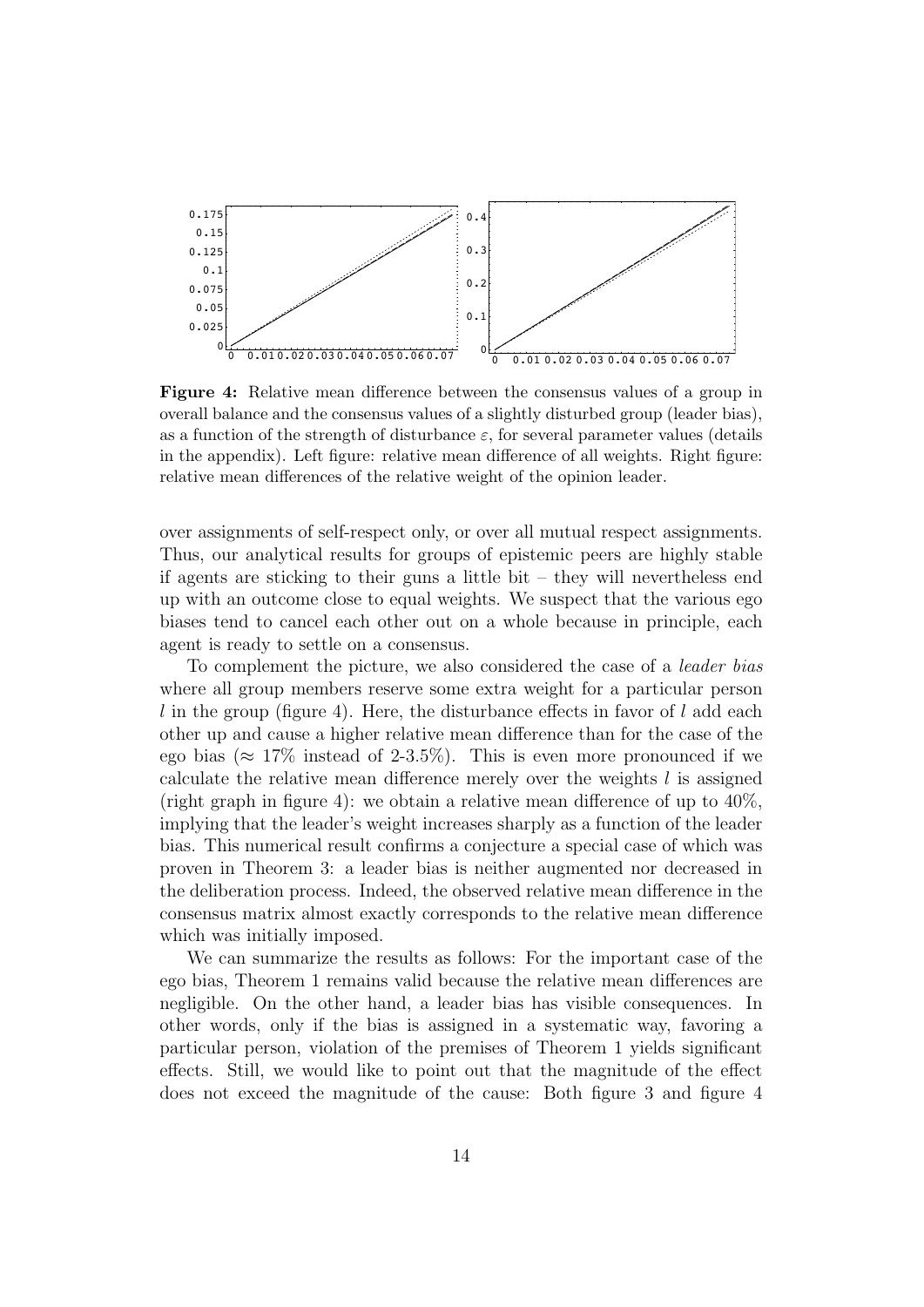

Figure 4: Relative mean difference between the consensus values of a group in overall balance and the consensus values of a slightly disturbed group (leader bias), as a function of the strength of disturbance  $\varepsilon$ , for several parameter values (details in the appendix). Left figure: relative mean difference of all weights. Right figure: relative mean differences of the relative weight of the opinion leader.

over assignments of self-respect only, or over all mutual respect assignments. Thus, our analytical results for groups of epistemic peers are highly stable if agents are sticking to their guns a little bit – they will nevertheless end up with an outcome close to equal weights. We suspect that the various ego biases tend to cancel each other out on a whole because in principle, each agent is ready to settle on a consensus.

To complement the picture, we also considered the case of a leader bias where all group members reserve some extra weight for a particular person  $l$  in the group (figure 4). Here, the disturbance effects in favor of  $l$  add each other up and cause a higher relative mean difference than for the case of the ego bias ( $\approx 17\%$  instead of 2-3.5%). This is even more pronounced if we calculate the relative mean difference merely over the weights  $l$  is assigned (right graph in figure 4): we obtain a relative mean difference of up to 40%, implying that the leader's weight increases sharply as a function of the leader bias. This numerical result confirms a conjecture a special case of which was proven in Theorem 3: a leader bias is neither augmented nor decreased in the deliberation process. Indeed, the observed relative mean difference in the consensus matrix almost exactly corresponds to the relative mean difference which was initially imposed.

We can summarize the results as follows: For the important case of the ego bias, Theorem 1 remains valid because the relative mean differences are negligible. On the other hand, a leader bias has visible consequences. In other words, only if the bias is assigned in a systematic way, favoring a particular person, violation of the premises of Theorem 1 yields significant effects. Still, we would like to point out that the magnitude of the effect does not exceed the magnitude of the cause: Both figure 3 and figure 4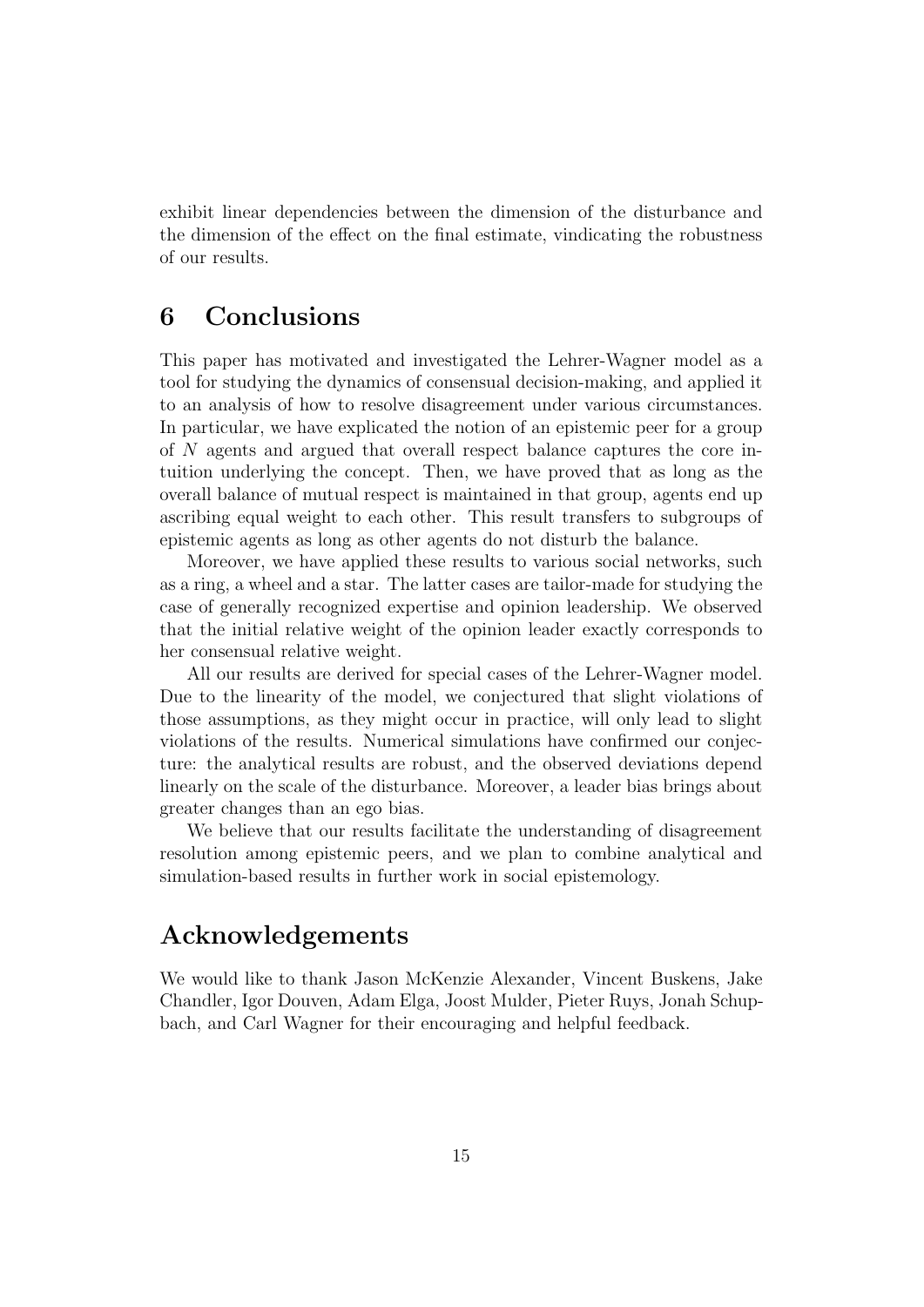exhibit linear dependencies between the dimension of the disturbance and the dimension of the effect on the final estimate, vindicating the robustness of our results.

# 6 Conclusions

This paper has motivated and investigated the Lehrer-Wagner model as a tool for studying the dynamics of consensual decision-making, and applied it to an analysis of how to resolve disagreement under various circumstances. In particular, we have explicated the notion of an epistemic peer for a group of N agents and argued that overall respect balance captures the core intuition underlying the concept. Then, we have proved that as long as the overall balance of mutual respect is maintained in that group, agents end up ascribing equal weight to each other. This result transfers to subgroups of epistemic agents as long as other agents do not disturb the balance.

Moreover, we have applied these results to various social networks, such as a ring, a wheel and a star. The latter cases are tailor-made for studying the case of generally recognized expertise and opinion leadership. We observed that the initial relative weight of the opinion leader exactly corresponds to her consensual relative weight.

All our results are derived for special cases of the Lehrer-Wagner model. Due to the linearity of the model, we conjectured that slight violations of those assumptions, as they might occur in practice, will only lead to slight violations of the results. Numerical simulations have confirmed our conjecture: the analytical results are robust, and the observed deviations depend linearly on the scale of the disturbance. Moreover, a leader bias brings about greater changes than an ego bias.

We believe that our results facilitate the understanding of disagreement resolution among epistemic peers, and we plan to combine analytical and simulation-based results in further work in social epistemology.

#### Acknowledgements

We would like to thank Jason McKenzie Alexander, Vincent Buskens, Jake Chandler, Igor Douven, Adam Elga, Joost Mulder, Pieter Ruys, Jonah Schupbach, and Carl Wagner for their encouraging and helpful feedback.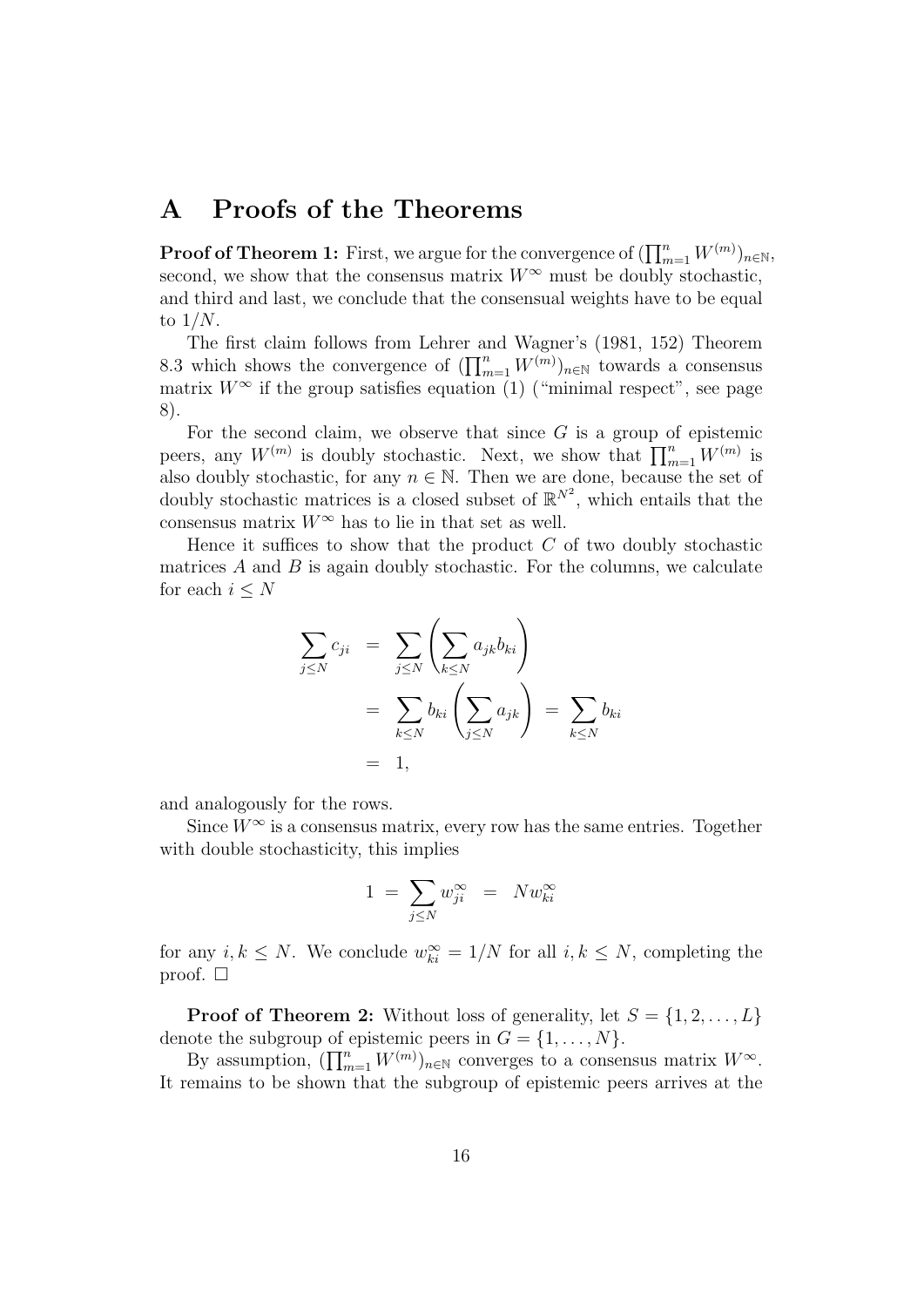# A Proofs of the Theorems

 ${\bf Proof of Theorem~1:~}$  First, we argue for the convergence of  $(\prod_{m=1}^n W^{(m)})_{n\in \mathbb{N}},$ second, we show that the consensus matrix  $W^{\infty}$  must be doubly stochastic, and third and last, we conclude that the consensual weights have to be equal to  $1/N$ .

The first claim follows from Lehrer and Wagner's (1981, 152) Theorem 8.3 which shows the convergence of  $(\prod_{m=1}^n W^{(m)})_{n\in\mathbb{N}}$  towards a consensus matrix  $W^{\infty}$  if the group satisfies equation (1) ("minimal respect", see page 8).

For the second claim, we observe that since  $G$  is a group of epistemic peers, any  $W^{(m)}$  is doubly stochastic. Next, we show that  $\prod_{m=1}^{n} W^{(m)}$  is also doubly stochastic, for any  $n \in \mathbb{N}$ . Then we are done, because the set of doubly stochastic matrices is a closed subset of  $\mathbb{R}^{N^2}$ , which entails that the consensus matrix  $W^{\infty}$  has to lie in that set as well.

Hence it suffices to show that the product  $C$  of two doubly stochastic matrices  $A$  and  $B$  is again doubly stochastic. For the columns, we calculate for each  $i \leq N$ 

$$
\sum_{j \leq N} c_{ji} = \sum_{j \leq N} \left( \sum_{k \leq N} a_{jk} b_{ki} \right)
$$
  
= 
$$
\sum_{k \leq N} b_{ki} \left( \sum_{j \leq N} a_{jk} \right) = \sum_{k \leq N} b_{ki}
$$
  
= 1,

and analogously for the rows.

Since  $W^{\infty}$  is a consensus matrix, every row has the same entries. Together with double stochasticity, this implies

$$
1 = \sum_{j \le N} w_{ji}^{\infty} = N w_{ki}^{\infty}
$$

for any  $i, k \leq N$ . We conclude  $w_{ki}^{\infty} = 1/N$  for all  $i, k \leq N$ , completing the proof.  $\square$ 

**Proof of Theorem 2:** Without loss of generality, let  $S = \{1, 2, ..., L\}$ denote the subgroup of epistemic peers in  $G = \{1, \ldots, N\}.$ 

By assumption,  $(\prod_{m=1}^n W^{(m)})_{n\in\mathbb{N}}$  converges to a consensus matrix  $W^{\infty}$ . It remains to be shown that the subgroup of epistemic peers arrives at the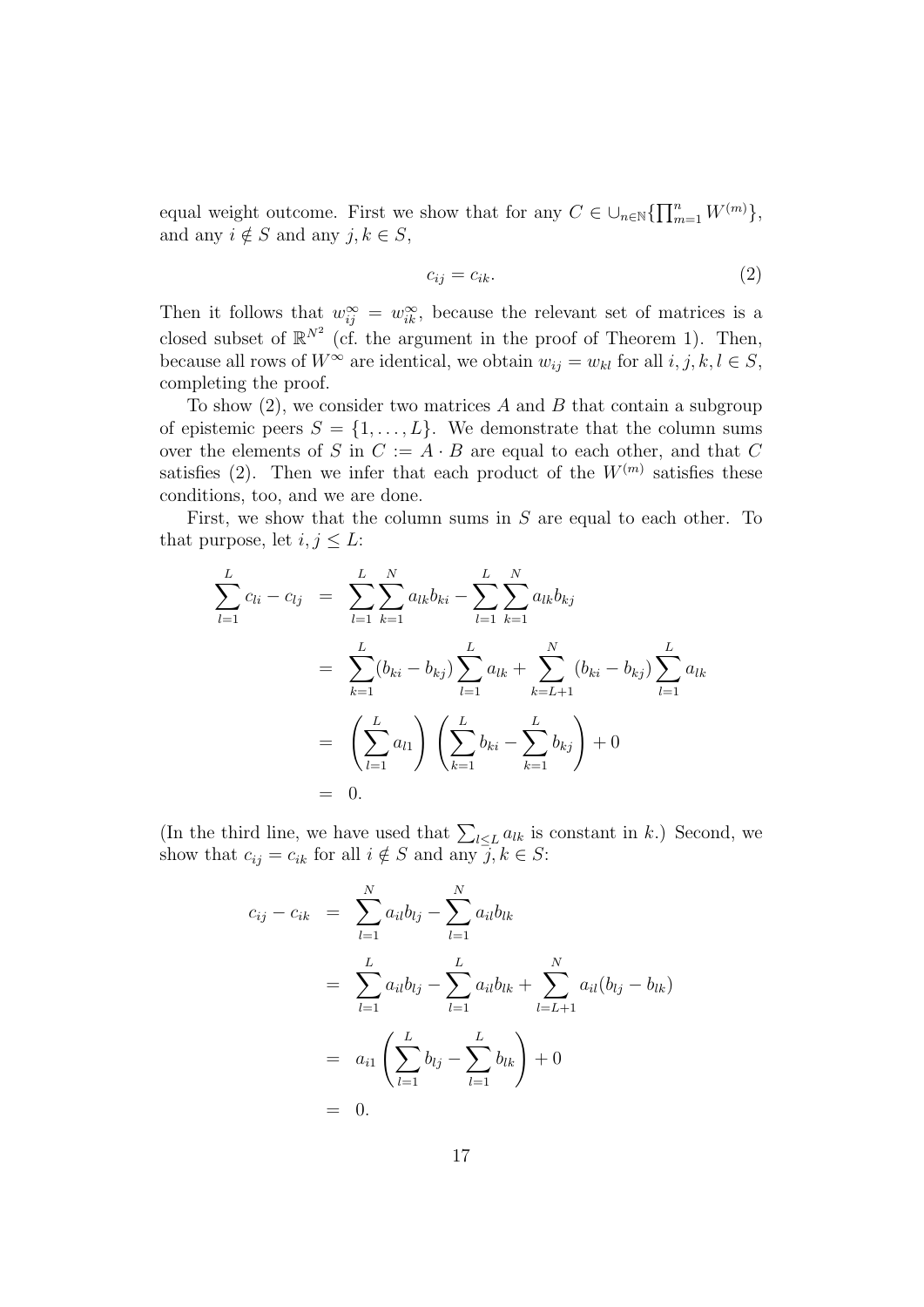equal weight outcome. First we show that for any  $C \in \bigcup_{n \in \mathbb{N}} \{ \prod_{m=1}^n W^{(m)} \},$ and any  $i \notin S$  and any  $j, k \in S$ ,

$$
c_{ij} = c_{ik}.\tag{2}
$$

Then it follows that  $w_{ij}^{\infty} = w_{ik}^{\infty}$ , because the relevant set of matrices is a closed subset of  $\mathbb{R}^{N^2}$  (cf. the argument in the proof of Theorem 1). Then, because all rows of  $W^{\infty}$  are identical, we obtain  $w_{ij} = w_{kl}$  for all  $i, j, k, l \in S$ , completing the proof.

To show  $(2)$ , we consider two matrices A and B that contain a subgroup of epistemic peers  $S = \{1, \ldots, L\}$ . We demonstrate that the column sums over the elements of S in  $C := A \cdot B$  are equal to each other, and that C satisfies (2). Then we infer that each product of the  $W^{(m)}$  satisfies these conditions, too, and we are done.

First, we show that the column sums in  $S$  are equal to each other. To that purpose, let  $i, j \leq L$ :

$$
\sum_{l=1}^{L} c_{li} - c_{lj} = \sum_{l=1}^{L} \sum_{k=1}^{N} a_{lk} b_{ki} - \sum_{l=1}^{L} \sum_{k=1}^{N} a_{lk} b_{kj}
$$
\n
$$
= \sum_{k=1}^{L} (b_{ki} - b_{kj}) \sum_{l=1}^{L} a_{lk} + \sum_{k=L+1}^{N} (b_{ki} - b_{kj}) \sum_{l=1}^{L} a_{lk}
$$
\n
$$
= \left(\sum_{l=1}^{L} a_{l1}\right) \left(\sum_{k=1}^{L} b_{ki} - \sum_{k=1}^{L} b_{kj}\right) + 0
$$
\n
$$
= 0.
$$

(In the third line, we have used that  $\sum_{l\leq L} a_{lk}$  is constant in k.) Second, we show that  $c_{ij} = c_{ik}$  for all  $i \notin S$  and any  $\overline{j}, k \in S$ :

$$
c_{ij} - c_{ik} = \sum_{l=1}^{N} a_{il}b_{lj} - \sum_{l=1}^{N} a_{il}b_{lk}
$$
  
= 
$$
\sum_{l=1}^{L} a_{il}b_{lj} - \sum_{l=1}^{L} a_{il}b_{lk} + \sum_{l=L+1}^{N} a_{il}(b_{lj} - b_{lk})
$$
  
= 
$$
a_{i1} \left( \sum_{l=1}^{L} b_{lj} - \sum_{l=1}^{L} b_{lk} \right) + 0
$$
  
= 0.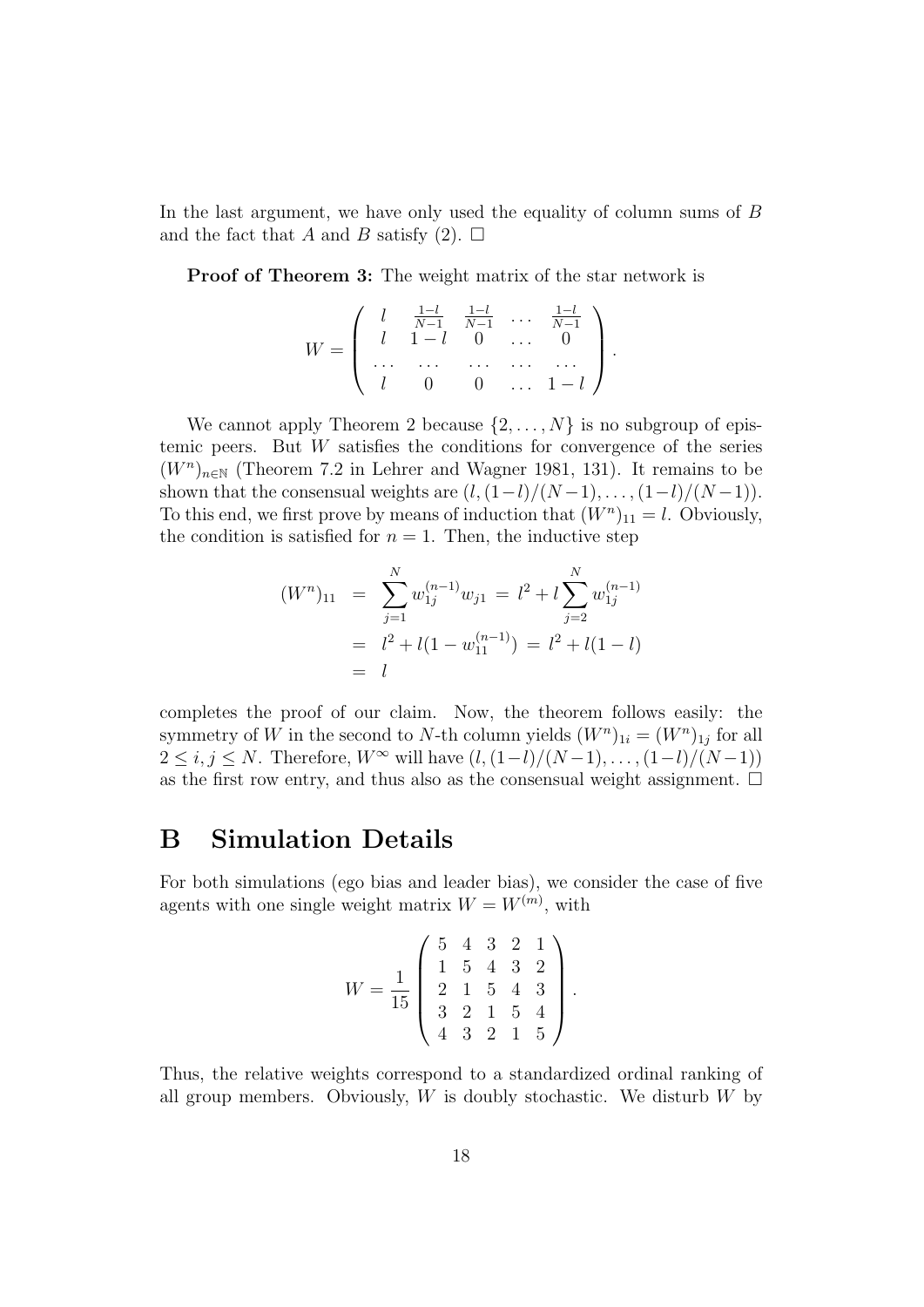In the last argument, we have only used the equality of column sums of B and the fact that A and B satisfy (2).  $\Box$ 

Proof of Theorem 3: The weight matrix of the star network is

$$
W = \left( \begin{array}{cccc} l & \frac{1-l}{N-1} & \frac{1-l}{N-1} & \cdots & \frac{1-l}{N-1} \\ l & 1-l & 0 & \cdots & 0 \\ \cdots & \cdots & \cdots & \cdots & \cdots \\ l & 0 & 0 & \cdots & 1-l \end{array} \right).
$$

We cannot apply Theorem 2 because  $\{2, \ldots, N\}$  is no subgroup of epistemic peers. But  $W$  satisfies the conditions for convergence of the series  $(W<sup>n</sup>)<sub>n\in\mathbb{N}</sub>$  (Theorem 7.2 in Lehrer and Wagner 1981, 131). It remains to be shown that the consensual weights are  $(l,(1-l)/(N-1),\ldots,(1-l)/(N-1)).$ To this end, we first prove by means of induction that  $(W^n)_{11} = l$ . Obviously, the condition is satisfied for  $n = 1$ . Then, the inductive step

$$
(Wn)11 = \sum_{j=1}^{N} w_{1j}^{(n-1)} w_{j1} = l2 + l \sum_{j=2}^{N} w_{1j}^{(n-1)}
$$
  
=  $l2 + l(1 - w_{11}^{(n-1)}) = l2 + l(1 - l)$   
=  $l$ 

completes the proof of our claim. Now, the theorem follows easily: the symmetry of W in the second to N-th column yields  $(W^n)_{1i} = (W^n)_{1j}$  for all  $2 \le i, j \le N$ . Therefore,  $W^{\infty}$  will have  $(l,(1-l)/(N-1),\ldots,(1-l)/(N-1))$ as the first row entry, and thus also as the consensual weight assignment.  $\Box$ 

# B Simulation Details

For both simulations (ego bias and leader bias), we consider the case of five agents with one single weight matrix  $W = W^{(m)}$ , with

$$
W = \frac{1}{15} \begin{pmatrix} 5 & 4 & 3 & 2 & 1 \\ 1 & 5 & 4 & 3 & 2 \\ 2 & 1 & 5 & 4 & 3 \\ 3 & 2 & 1 & 5 & 4 \\ 4 & 3 & 2 & 1 & 5 \end{pmatrix}.
$$

Thus, the relative weights correspond to a standardized ordinal ranking of all group members. Obviously,  $W$  is doubly stochastic. We disturb  $W$  by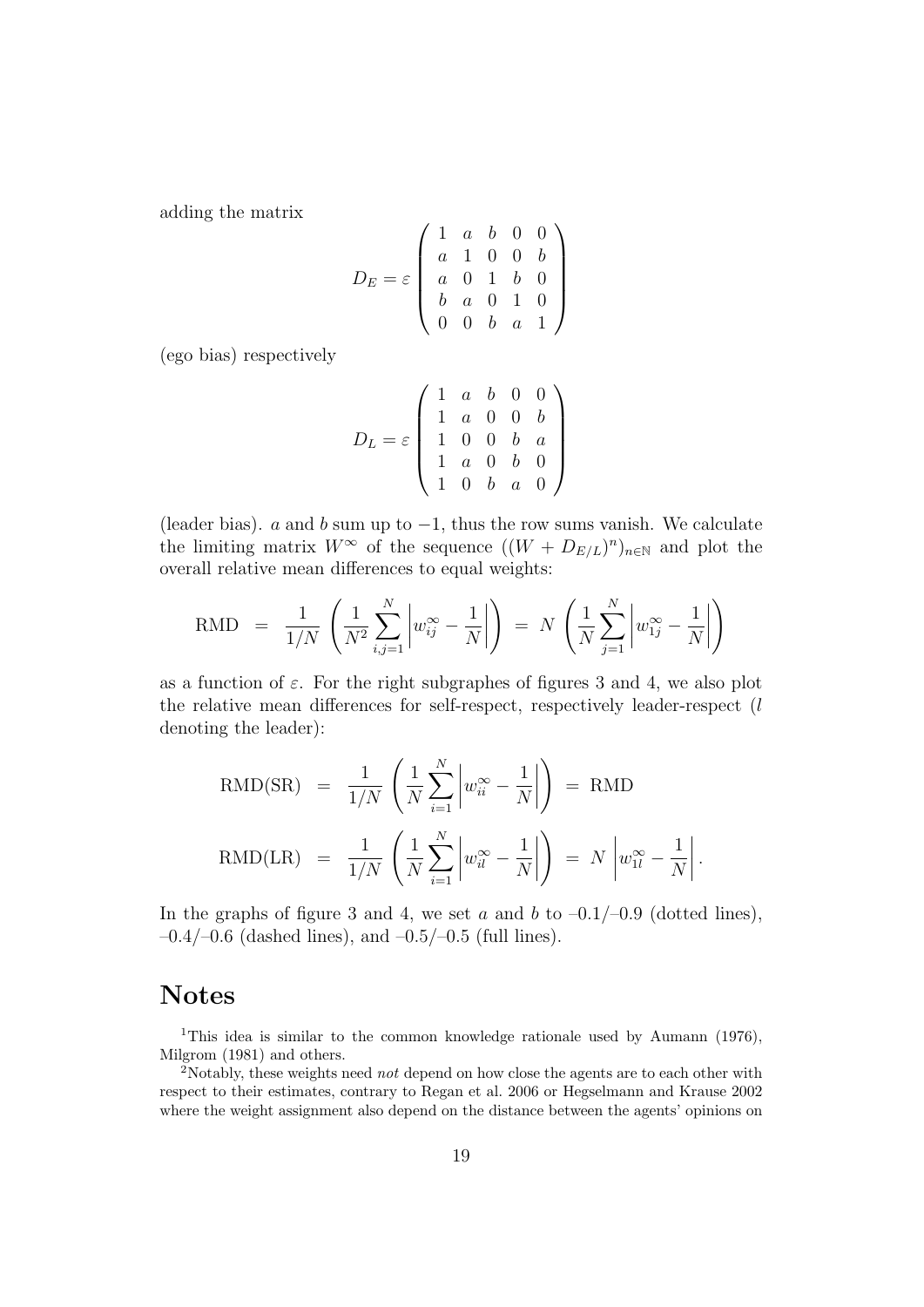adding the matrix

$$
D_E = \varepsilon \left( \begin{array}{cccc} 1 & a & b & 0 & 0 \\ a & 1 & 0 & 0 & b \\ a & 0 & 1 & b & 0 \\ b & a & 0 & 1 & 0 \\ 0 & 0 & b & a & 1 \end{array} \right)
$$

(ego bias) respectively

$$
D_L = \varepsilon \begin{pmatrix} 1 & a & b & 0 & 0 \\ 1 & a & 0 & 0 & b \\ 1 & 0 & 0 & b & a \\ 1 & a & 0 & b & 0 \\ 1 & 0 & b & a & 0 \end{pmatrix}
$$

(leader bias). a and b sum up to  $-1$ , thus the row sums vanish. We calculate the limiting matrix  $W^{\infty}$  of the sequence  $((W + D_{E/L})^n)_{n \in \mathbb{N}}$  and plot the overall relative mean differences to equal weights:

$$
\text{RMD} = \frac{1}{1/N} \left( \frac{1}{N^2} \sum_{i,j=1}^N \left| w_{ij}^{\infty} - \frac{1}{N} \right| \right) = N \left( \frac{1}{N} \sum_{j=1}^N \left| w_{1j}^{\infty} - \frac{1}{N} \right| \right)
$$

as a function of  $\varepsilon$ . For the right subgraphes of figures 3 and 4, we also plot the relative mean differences for self-respect, respectively leader-respect (l denoting the leader):

$$
\text{RMD}(\text{SR}) = \frac{1}{1/N} \left( \frac{1}{N} \sum_{i=1}^{N} \left| w_{ii}^{\infty} - \frac{1}{N} \right| \right) = \text{RMD}
$$
  

$$
\text{RMD}(\text{LR}) = \frac{1}{1/N} \left( \frac{1}{N} \sum_{i=1}^{N} \left| w_{ii}^{\infty} - \frac{1}{N} \right| \right) = N \left| w_{1l}^{\infty} - \frac{1}{N} \right|.
$$

In the graphs of figure 3 and 4, we set a and b to  $-0.1/-0.9$  (dotted lines),  $-0.4/-0.6$  (dashed lines), and  $-0.5/-0.5$  (full lines).

# Notes

<sup>1</sup>This idea is similar to the common knowledge rationale used by Aumann (1976), Milgrom (1981) and others.

<sup>2</sup>Notably, these weights need *not* depend on how close the agents are to each other with respect to their estimates, contrary to Regan et al. 2006 or Hegselmann and Krause 2002 where the weight assignment also depend on the distance between the agents' opinions on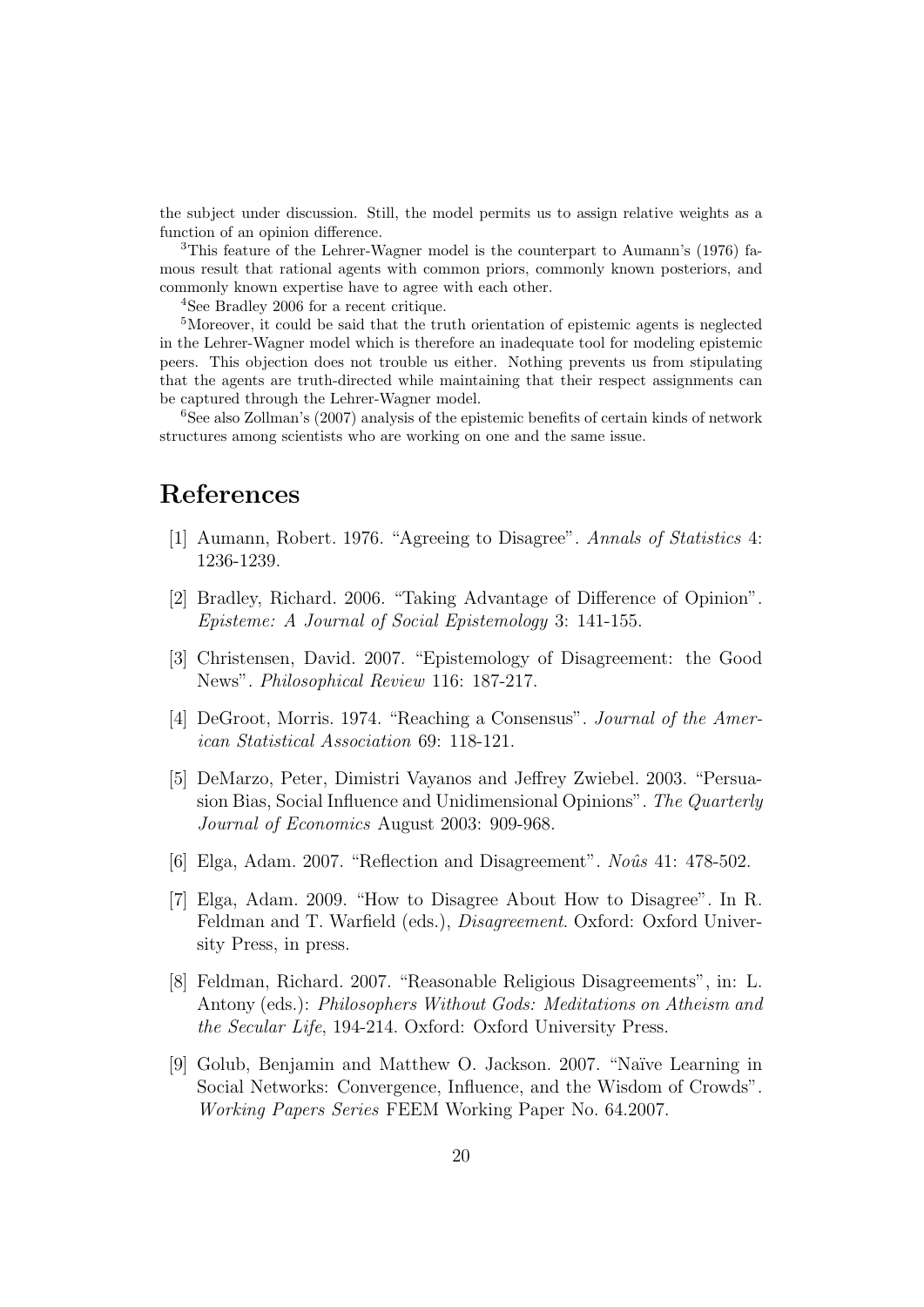the subject under discussion. Still, the model permits us to assign relative weights as a function of an opinion difference.

<sup>3</sup>This feature of the Lehrer-Wagner model is the counterpart to Aumann's (1976) famous result that rational agents with common priors, commonly known posteriors, and commonly known expertise have to agree with each other.

<sup>4</sup>See Bradley 2006 for a recent critique.

<sup>5</sup>Moreover, it could be said that the truth orientation of epistemic agents is neglected in the Lehrer-Wagner model which is therefore an inadequate tool for modeling epistemic peers. This objection does not trouble us either. Nothing prevents us from stipulating that the agents are truth-directed while maintaining that their respect assignments can be captured through the Lehrer-Wagner model.

<sup>6</sup>See also Zollman's (2007) analysis of the epistemic benefits of certain kinds of network structures among scientists who are working on one and the same issue.

#### References

- [1] Aumann, Robert. 1976. "Agreeing to Disagree". Annals of Statistics 4: 1236-1239.
- [2] Bradley, Richard. 2006. "Taking Advantage of Difference of Opinion". Episteme: A Journal of Social Epistemology 3: 141-155.
- [3] Christensen, David. 2007. "Epistemology of Disagreement: the Good News". Philosophical Review 116: 187-217.
- [4] DeGroot, Morris. 1974. "Reaching a Consensus". Journal of the American Statistical Association 69: 118-121.
- [5] DeMarzo, Peter, Dimistri Vayanos and Jeffrey Zwiebel. 2003. "Persuasion Bias, Social Influence and Unidimensional Opinions". The Quarterly Journal of Economics August 2003: 909-968.
- [6] Elga, Adam. 2007. "Reflection and Disagreement". No $\hat{u}$ s 41: 478-502.
- [7] Elga, Adam. 2009. "How to Disagree About How to Disagree". In R. Feldman and T. Warfield (eds.), *Disagreement*. Oxford: Oxford University Press, in press.
- [8] Feldman, Richard. 2007. "Reasonable Religious Disagreements", in: L. Antony (eds.): Philosophers Without Gods: Meditations on Atheism and the Secular Life, 194-214. Oxford: Oxford University Press.
- [9] Golub, Benjamin and Matthew O. Jackson. 2007. "Na¨ıve Learning in Social Networks: Convergence, Influence, and the Wisdom of Crowds". Working Papers Series FEEM Working Paper No. 64.2007.